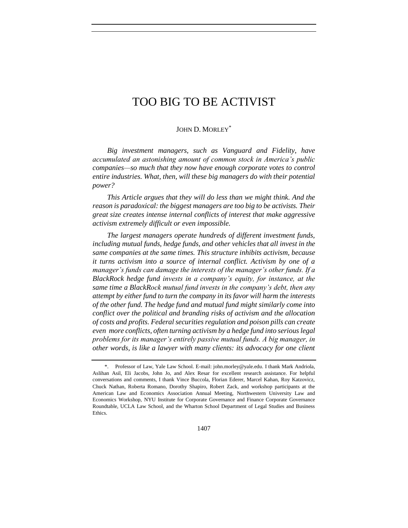JOHN D. MORLEY<sup>\*</sup>

*Big investment managers, such as Vanguard and Fidelity, have accumulated an astonishing amount of common stock in America's public companies—so much that they now have enough corporate votes to control entire industries. What, then, will these big managers do with their potential power?*

*This Article argues that they will do less than we might think. And the reason is paradoxical: the biggest managers are too big to be activists. Their great size creates intense internal conflicts of interest that make aggressive activism extremely difficult or even impossible.*

*The largest managers operate hundreds of different investment funds, including mutual funds, hedge funds, and other vehicles that all invest in the same companies at the same times. This structure inhibits activism, because it turns activism into a source of internal conflict. Activism by one of a manager's funds can damage the interests of the manager's other funds. If a BlackRock hedge fund invests in a company's equity, for instance, at the same time a BlackRock mutual fund invests in the company's debt, then any attempt by either fund to turn the company in its favor will harm the interests of the other fund. The hedge fund and mutual fund might similarly come into conflict over the political and branding risks of activism and the allocation of costs and profits. Federal securities regulation and poison pills can create even more conflicts, often turning activism by a hedge fund into serious legal problems for its manager's entirely passive mutual funds. A big manager, in other words, is like a lawyer with many clients: its advocacy for one client* 

<sup>\*.</sup> Professor of Law, Yale Law School. E-mail: john.morley@yale.edu. I thank Mark Andriola, Aslihan Asil, Eli Jacobs, John Jo, and Alex Resar for excellent research assistance. For helpful conversations and comments, I thank Vince Buccola, Florian Ederer, Marcel Kahan, Roy Katzovicz, Chuck Nathan, Roberta Romano, Dorothy Shapiro, Robert Zack, and workshop participants at the American Law and Economics Association Annual Meeting, Northwestern University Law and Economics Workshop, NYU Institute for Corporate Governance and Finance Corporate Governance Roundtable, UCLA Law School, and the Wharton School Department of Legal Studies and Business Ethics.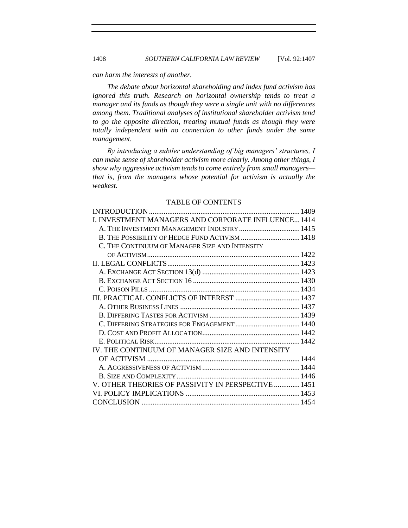#### *can harm the interests of another.*

*The debate about horizontal shareholding and index fund activism has ignored this truth. Research on horizontal ownership tends to treat a manager and its funds as though they were a single unit with no differences among them. Traditional analyses of institutional shareholder activism tend to go the opposite direction, treating mutual funds as though they were totally independent with no connection to other funds under the same management.*

*By introducing a subtler understanding of big managers' structures, I can make sense of shareholder activism more clearly. Among other things, I show why aggressive activism tends to come entirely from small managers that is, from the managers whose potential for activism is actually the weakest.*

### TABLE OF CONTENTS

| I. INVESTMENT MANAGERS AND CORPORATE INFLUENCE 1414 |  |
|-----------------------------------------------------|--|
| A. THE INVESTMENT MANAGEMENT INDUSTRY 1415          |  |
| B. THE POSSIBILITY OF HEDGE FUND ACTIVISM  1418     |  |
| C. THE CONTINUUM OF MANAGER SIZE AND INTENSITY      |  |
|                                                     |  |
|                                                     |  |
|                                                     |  |
|                                                     |  |
|                                                     |  |
|                                                     |  |
|                                                     |  |
|                                                     |  |
|                                                     |  |
|                                                     |  |
|                                                     |  |
| IV. THE CONTINUUM OF MANAGER SIZE AND INTENSITY     |  |
|                                                     |  |
|                                                     |  |
|                                                     |  |
| V. OTHER THEORIES OF PASSIVITY IN PERSPECTIVE  1451 |  |
|                                                     |  |
|                                                     |  |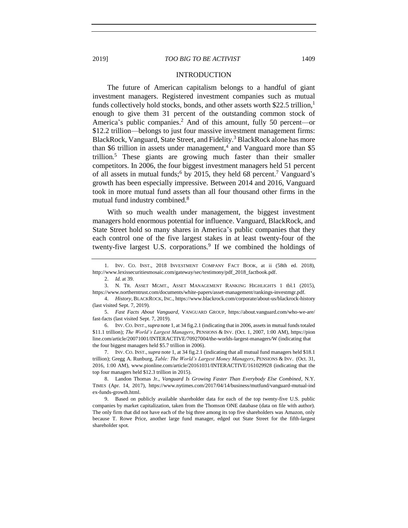#### <span id="page-2-1"></span>INTRODUCTION

The future of American capitalism belongs to a handful of giant investment managers. Registered investment companies such as mutual funds collectively hold stocks, bonds, and other assets worth \$22.5 trillion,<sup>1</sup> enough to give them 31 percent of the outstanding common stock of America's public companies.<sup>2</sup> And of this amount, fully 50 percent—or \$12.2 trillion—belongs to just four massive investment management firms: BlackRock, Vanguard, State Street, and Fidelity.<sup>3</sup> BlackRock alone has more than \$6 trillion in assets under management,<sup>4</sup> and Vanguard more than \$5 trillion.<sup>5</sup> These giants are growing much faster than their smaller competitors. In 2006, the four biggest investment managers held 51 percent of all assets in mutual funds;<sup>6</sup> by 2015, they held 68 percent.<sup>7</sup> Vanguard's growth has been especially impressive. Between 2014 and 2016, Vanguard took in more mutual fund assets than all four thousand other firms in the mutual fund industry combined.<sup>8</sup>

With so much wealth under management, the biggest investment managers hold enormous potential for influence. Vanguard, BlackRock, and State Street hold so many shares in America's public companies that they each control one of the five largest stakes in at least twenty-four of the twenty-five largest U.S. corporations.<sup>9</sup> If we combined the holdings of

6. INV. CO. INST.,*supra* not[e 1,](#page-2-1) at 34 fig.2.1 (indicating that in 2006, assets in mutual funds totaled \$11.1 trillion); *The World's Largest Managers*, PENSIONS & INV. (Oct. 1, 2007, 1:00 AM), https://pion line.com/article/20071001/INTERACTIVE/70927004/the-worlds-largest-managers/W (indicating that the four biggest managers held \$5.7 trillion in 2006).

7. INV. CO. INST., *supra* not[e 1,](#page-2-1) at 34 fig.2.1 (indicating that all mutual fund managers held \$18.1 trillion); Gregg A. Runburg, *Table: The World's Largest Money Managers*, PENSIONS & INV. (Oct. 31, 2016, 1:00 AM), www.pionline.com/article/20161031/INTERACTIVE/161029928 (indicating that the top four managers held \$12.3 trillion in 2015).

<span id="page-2-0"></span>

<sup>1.</sup> INV. CO. INST., 2018 INVESTMENT COMPANY FACT BOOK, at ii (58th ed. 2018), http://www.lexissecuritiesmosaic.com/gateway/sec/testimony/pdf\_2018\_factbook.pdf.

<sup>2.</sup> *Id.* at 39.

<sup>3.</sup> N. TR. ASSET MGMT., ASSET MANAGEMENT RANKING HIGHLIGHTS 1 tbl.1 (2015), https://www.northerntrust.com/documents/white-papers/asset-management/rankings-investmgr.pdf.

<sup>4.</sup> *History*, BLACKROCK, INC., https://www.blackrock.com/corporate/about-us/blackrock-history (last visited Sept. 7, 2019).

<sup>5.</sup> *Fast Facts About Vanguard*, VANGUARD GROUP, https://about.vanguard.com/who-we-are/ fast-facts (last visited Sept. 7, 2019).

<sup>8.</sup> Landon Thomas Jr., *Vanguard Is Growing Faster Than Everybody Else Combined*, N.Y. TIMES (Apr. 14, 2017), https://www.nytimes.com/2017/04/14/business/mutfund/vanguard-mutual-ind ex-funds-growth.html.

<sup>9.</sup> Based on publicly available shareholder data for each of the top twenty-five U.S. public companies by market capitalization, taken from the Thomson ONE database (data on file with author). The only firm that did not have each of the big three among its top five shareholders was Amazon, only because T. Rowe Price, another large fund manager, edged out State Street for the fifth-largest shareholder spot.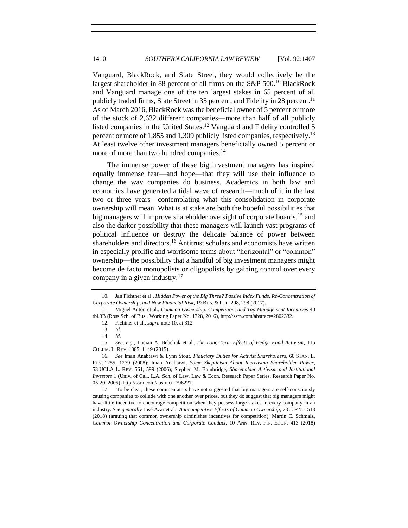Vanguard, BlackRock, and State Street, they would collectively be the largest shareholder in 88 percent of all firms on the  $S\&P 500$ .<sup>10</sup> BlackRock and Vanguard manage one of the ten largest stakes in 65 percent of all publicly traded firms, State Street in 35 percent, and Fidelity in 28 percent.<sup>11</sup> As of March 2016, BlackRock was the beneficial owner of 5 percent or more of the stock of 2,632 different companies—more than half of all publicly listed companies in the United States.<sup>12</sup> Vanguard and Fidelity controlled 5 percent or more of 1,855 and 1,309 publicly listed companies, respectively.<sup>13</sup> At least twelve other investment managers beneficially owned 5 percent or more of more than two hundred companies.<sup>14</sup>

The immense power of these big investment managers has inspired equally immense fear—and hope—that they will use their influence to change the way companies do business. Academics in both law and economics have generated a tidal wave of research—much of it in the last two or three years—contemplating what this consolidation in corporate ownership will mean. What is at stake are both the hopeful possibilities that big managers will improve shareholder oversight of corporate boards,<sup>15</sup> and also the darker possibility that these managers will launch vast programs of political influence or destroy the delicate balance of power between shareholders and directors.<sup>16</sup> Antitrust scholars and economists have written in especially prolific and worrisome terms about "horizontal" or "common" ownership—the possibility that a handful of big investment managers might become de facto monopolists or oligopolists by gaining control over every company in a given industry.<sup>17</sup>

<span id="page-3-0"></span>

<span id="page-3-2"></span><span id="page-3-1"></span><sup>10.</sup> Jan Fichtner et al., *Hidden Power of the Big Three? Passive Index Funds, Re-Concentration of Corporate Ownership, and New Financial Risk*, 19 BUS. & POL. 298, 298 (2017).

<sup>11.</sup> Miguel Antón et al., *Common Ownership, Competition, and Top Management Incentives* 40 tbl.3B (Ross Sch. of Bus., Working Paper No. 1328, 2016), http://ssrn.com/abstract=2802332.

<sup>12.</sup> Fichtner et al., *supra* note [10,](#page-3-0) at 312.

<sup>13.</sup> *Id*.

<sup>14.</sup> *Id*.

<sup>15.</sup> *See, e.g.*, Lucian A. Bebchuk et al., *The Long-Term Effects of Hedge Fund Activism*, 115 COLUM. L. REV. 1085, 1149 (2015).

<sup>16.</sup> *See* Iman Anabtawi & Lynn Stout, *Fiduciary Duties for Activist Shareholders*, 60 STAN. L. REV. 1255, 1279 (2008); Iman Anabtawi, *Some Skepticism About Increasing Shareholder Power*, 53 UCLA L. REV. 561, 599 (2006); Stephen M. Bainbridge, *Shareholder Activism and Institutional Investors* 1 (Univ. of Cal., L.A. Sch. of Law, Law & Econ. Research Paper Series, Research Paper No. 05-20, 2005), http://ssrn.com/abstract=796227.

<sup>17.</sup> To be clear, these commentators have not suggested that big managers are self-consciously causing companies to collude with one another over prices, but they do suggest that big managers might have little incentive to encourage competition when they possess large stakes in every company in an industry. *See generally* José Azar et al., *Anticompetitive Effects of Common Ownership*, 73 J. FIN. 1513 (2018) (arguing that common ownership diminishes incentives for competition); Martin C. Schmalz, *Common-Ownership Concentration and Corporate Conduct*, 10 ANN. REV. FIN. ECON. 413 (2018)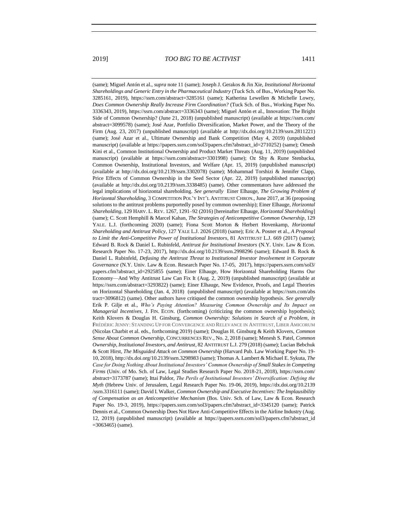(same); Miguel Antón et al., *supra* note 11 (same); Joseph J. Gerakos & Jin Xie, *Institutional Horizontal Shareholdings and Generic Entry in the Pharmaceutical Industry* (Tuck Sch. of Bus., Working Paper No. 3285161, 2019), https://ssrn.com/abstract=3285161 (same); Katherina Lewellen & Michelle Lowry, *Does Common Ownership Really Increase Firm Coordination?* (Tuck Sch. of Bus., Working Paper No. 3336343, 2019), https://ssrn.com/abstract=3336343 (same); Miguel Antón et al., Innovation: The Bright Side of Common Ownership? (June 21, 2018) (unpublished manuscript) (available at https://ssrn.com/ abstract=3099578) (same); José Azar, Portfolio Diversification, Market Power, and the Theory of the Firm (Aug. 23, 2017) (unpublished manuscript) (available at http://dx.doi.org/10.2139/ssrn.2811221) (same); José Azar et al., Ultimate Ownership and Bank Competition (May 4, 2019) (unpublished manuscript) (available at https://papers.ssrn.com/sol3/papers.cfm?abstract\_id=2710252) (same); Omesh Kini et al., Common Institutional Ownership and Product Market Threats (Aug. 11, 2019) (unpublished manuscript) (available at https://ssrn.com/abstract=3301998) (same); Oz Shy & Rune Stenbacka, Common Ownership, Institutional Investors, and Welfare (Apr. 15, 2019) (unpublished manuscript) (available at http://dx.doi.org/10.2139/ssrn.3302078) (same); Mohammad Torshizi & Jennifer Clapp, Price Effects of Common Ownership in the Seed Sector (Apr. 22, 2019) (unpublished manuscript) (available at http://dx.doi.org/10.2139/ssrn.3338485) (same). Other commentators have addressed the legal implications of hiorizontal shareholding. *See generally* Einer Elhauge, *The Growing Problem of Horizontal Shareholding*, 3 COMPETITION POL'Y INT'L ANTITRUST CHRON., June 2017, at 36 (proposing solutions to the antitrust problems purportedly posed by common ownership); Einer Elhauge, *Horizontal Shareholding*, 129 HARV. L. REV. 1267, 1291–92 (2016) [hereinafter Elhauge, *Horizontal Shareholding*] (same); C. Scott Hemphill & Marcel Kahan, *The Strategies of Anticompetitive Common Ownership*, 129 YALE. L.J. (forthcoming 2020) (same); Fiona Scott Morton & Herbert Hovenkamp, *Horizontal Shareholding and Antitrust Policy*, 127 YALE L.J. 2026 (2018) (same); Eric A. Posner et al., *A Proposal to Limit the Anti-Competitive Power of Institutional Investors*, 81 ANTITRUST L.J. 669 (2017) (same); Edward B. Rock & Daniel L. Rubinfeld, *Antitrust for Institutional Investors* (N.Y. Univ. Law & Econ. Research Paper No. 17-23, 2017), http://dx.doi.org/10.2139/ssrn.2998296 (same); Edward B. Rock & Daniel L. Rubinfeld, *Defusing the Antitrust Threat to Institutional Investor Involvement in Corporate Governance* (N.Y. Univ. Law & Econ. Research Paper No. 17-05, 2017), https://papers.ssrn.com/sol3/ papers.cfm?abstract\_id=2925855 (same); Einer Elhauge, How Horizontal Shareholding Harms Our Economy—And Why Antitrust Law Can Fix It (Aug. 2, 2019) (unpublished manuscript) (available at https://ssrn.com/abstract=3293822) (same); Einer Elhauge, New Evidence, Proofs, and Legal Theories on Horizontal Shareholding (Jan. 4, 2018) (unpublished manuscript) (available at https://ssrn.com/abs tract=3096812) (same). Other authors have critiqued the common ownership hypothesis. *See generally* Erik P. Gilje et al., *Who's Paying Attention? Measuring Common Ownership and Its Impact on Managerial Incentives*, J. FIN. ECON. (forthcoming) (criticizing the common ownership hypothesis); Keith Klovers & Douglas H. Ginsburg, *Common Ownership: Solutions in Search of a Problem*, *in*  FRÉDÉRIC JENNY: STANDING UP FOR CONVERGENCE AND RELEVANCE IN ANTITRUST, LIBER AMICORUM (Nicolas Charbit et al. eds., forthcoming 2019) (same); Douglas H. Ginsburg & Keith Klovers, *Common Sense About Common Ownership*, CONCURRENCES REV., No. 2, 2018 (same); Menesh S. Patel, *Common Ownership, Institutional Investors, and Antitrust*, 82 ANTITRUST L.J. 279 (2018) (same); Lucian Bebchuk & Scott Hirst, *The Misguided Attack on Common Ownership* (Harvard Pub. Law Working Paper No. 19- 10, 2018), http://dx.doi.org/10.2139/ssrn.3298983 (same); Thomas A. Lambert & Michael E. Sykuta, *The Case for Doing Nothing About Institutional Investors' Common Ownership of Small Stakes in Competing Firms* (Univ. of Mo. Sch. of Law, Legal Studies Research Paper No. 2018-21, 2018), https://ssrn.com/ abstract=3173787 (same); Ittai Paldor, *The Perils of Institutional Investors' Diversification: Defying the Myth* (Hebrew Univ. of Jerusalem, Legal Research Paper No. 19-06, 2019), https://dx.doi.org/10.2139 /ssrn.3316111 (same); David I. Walker, *Common Ownership and Executive Incentives: The Implausibility of Compensation as an Anticompetitive Mechanism* (Bos. Univ. Sch. of Law, Law & Econ. Research Paper No. 19-3, 2019), https://papers.ssrn.com/sol3/papers.cfm?abstract\_id=3345120 (same); Patrick Dennis et al., Common Ownership Does Not Have Anti-Competitive Effects in the Airline Industry (Aug. 12, 2019) (unpublished manuscript) (available at https://papers.ssrn.com/sol3/papers.cfm?abstract\_id

 $=3063465$ ) (same).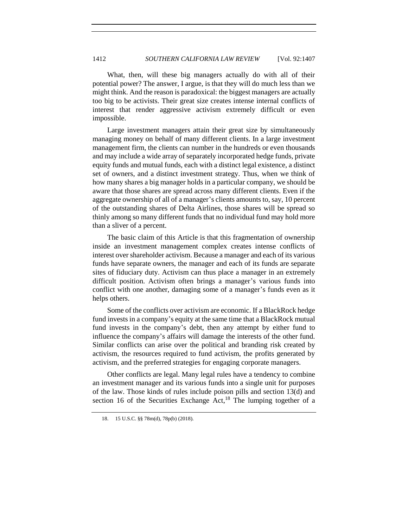What, then, will these big managers actually do with all of their potential power? The answer, I argue, is that they will do much less than we might think. And the reason is paradoxical: the biggest managers are actually too big to be activists. Their great size creates intense internal conflicts of interest that render aggressive activism extremely difficult or even impossible.

Large investment managers attain their great size by simultaneously managing money on behalf of many different clients. In a large investment management firm, the clients can number in the hundreds or even thousands and may include a wide array of separately incorporated hedge funds, private equity funds and mutual funds, each with a distinct legal existence, a distinct set of owners, and a distinct investment strategy. Thus, when we think of how many shares a big manager holds in a particular company, we should be aware that those shares are spread across many different clients. Even if the aggregate ownership of all of a manager's clients amounts to, say, 10 percent of the outstanding shares of Delta Airlines, those shares will be spread so thinly among so many different funds that no individual fund may hold more than a sliver of a percent.

The basic claim of this Article is that this fragmentation of ownership inside an investment management complex creates intense conflicts of interest over shareholder activism. Because a manager and each of its various funds have separate owners, the manager and each of its funds are separate sites of fiduciary duty. Activism can thus place a manager in an extremely difficult position. Activism often brings a manager's various funds into conflict with one another, damaging some of a manager's funds even as it helps others.

Some of the conflicts over activism are economic. If a BlackRock hedge fund invests in a company's equity at the same time that a BlackRock mutual fund invests in the company's debt, then any attempt by either fund to influence the company's affairs will damage the interests of the other fund. Similar conflicts can arise over the political and branding risk created by activism, the resources required to fund activism, the profits generated by activism, and the preferred strategies for engaging corporate managers.

Other conflicts are legal. Many legal rules have a tendency to combine an investment manager and its various funds into a single unit for purposes of the law. Those kinds of rules include poison pills and section 13(d) and section 16 of the Securities Exchange  $Act<sub>18</sub>$  The lumping together of a

<sup>18.</sup> 15 U.S.C. §§ 78m(d), 78p(b) (2018).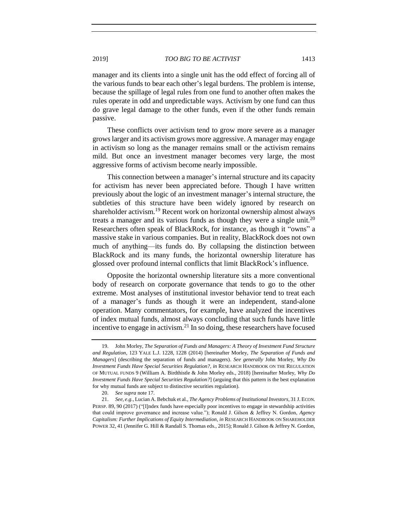manager and its clients into a single unit has the odd effect of forcing all of

the various funds to bear each other's legal burdens. The problem is intense, because the spillage of legal rules from one fund to another often makes the rules operate in odd and unpredictable ways. Activism by one fund can thus do grave legal damage to the other funds, even if the other funds remain passive.

These conflicts over activism tend to grow more severe as a manager grows larger and its activism grows more aggressive. A manager may engage in activism so long as the manager remains small or the activism remains mild. But once an investment manager becomes very large, the most aggressive forms of activism become nearly impossible.

<span id="page-6-0"></span>This connection between a manager's internal structure and its capacity for activism has never been appreciated before. Though I have written previously about the logic of an investment manager's internal structure, the subtleties of this structure have been widely ignored by research on shareholder activism.<sup>19</sup> Recent work on horizontal ownership almost always treats a manager and its various funds as though they were a single unit.<sup>20</sup> Researchers often speak of BlackRock, for instance, as though it "owns" a massive stake in various companies. But in reality, BlackRock does not own much of anything—its funds do. By collapsing the distinction between BlackRock and its many funds, the horizontal ownership literature has glossed over profound internal conflicts that limit BlackRock's influence.

Opposite the horizontal ownership literature sits a more conventional body of research on corporate governance that tends to go to the other extreme. Most analyses of institutional investor behavior tend to treat each of a manager's funds as though it were an independent, stand-alone operation. Many commentators, for example, have analyzed the incentives of index mutual funds, almost always concluding that such funds have little incentive to engage in activism. $^{21}$  In so doing, these researchers have focused

<span id="page-6-1"></span><sup>19.</sup> John Morley, *The Separation of Funds and Managers: A Theory of Investment Fund Structure and Regulation*, 123 YALE L.J. 1228, 1228 (2014) [hereinafter Morley, *The Separation of Funds and Managers*] (describing the separation of funds and managers). *See generally* John Morley, *Why Do Investment Funds Have Special Securities Regulation?*, *in* RESEARCH HANDBOOK ON THE REGULATION OF MUTUAL FUNDS 9 (William A. Birdthistle & John Morley eds., 2018) [hereinafter Morley, *Why Do Investment Funds Have Special Securities Regulation?*] (arguing that this pattern is the best explanation for why mutual funds are subject to distinctive securities regulation).

<sup>20.</sup> *See supra* not[e 17.](#page-3-1)

<sup>21.</sup> *See, e.g.*, Lucian A. Bebchuk et al., *The Agency Problems of Institutional Investors*, 31 J. ECON. PERSP. 89, 90 (2017) ("[I]ndex funds have especially poor incentives to engage in stewardship activities that could improve governance and increase value."); Ronald J. Gilson & Jeffrey N. Gordon, *Agency Capitalism: Further Implications of Equity Intermediation*, *in* RESEARCH HANDBOOK ON SHAREHOLDER POWER 32, 41 (Jennifer G. Hill & Randall S. Thomas eds., 2015); Ronald J. Gilson & Jeffrey N. Gordon,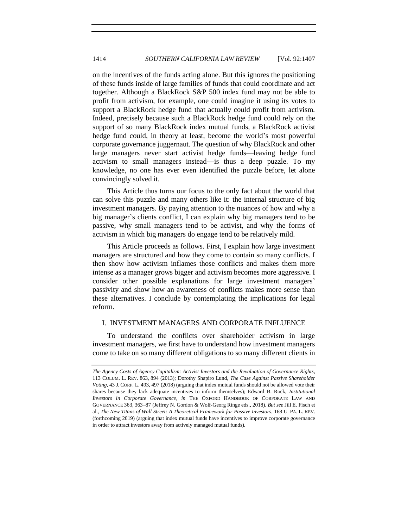on the incentives of the funds acting alone. But this ignores the positioning of these funds inside of large families of funds that could coordinate and act together. Although a BlackRock S&P 500 index fund may not be able to profit from activism, for example, one could imagine it using its votes to support a BlackRock hedge fund that actually could profit from activism. Indeed, precisely because such a BlackRock hedge fund could rely on the support of so many BlackRock index mutual funds, a BlackRock activist hedge fund could, in theory at least, become the world's most powerful corporate governance juggernaut. The question of why BlackRock and other large managers never start activist hedge funds—leaving hedge fund activism to small managers instead—is thus a deep puzzle. To my knowledge, no one has ever even identified the puzzle before, let alone convincingly solved it.

This Article thus turns our focus to the only fact about the world that can solve this puzzle and many others like it: the internal structure of big investment managers. By paying attention to the nuances of how and why a big manager's clients conflict, I can explain why big managers tend to be passive, why small managers tend to be activist, and why the forms of activism in which big managers do engage tend to be relatively mild.

This Article proceeds as follows. First, I explain how large investment managers are structured and how they come to contain so many conflicts. I then show how activism inflames those conflicts and makes them more intense as a manager grows bigger and activism becomes more aggressive. I consider other possible explanations for large investment managers' passivity and show how an awareness of conflicts makes more sense than these alternatives. I conclude by contemplating the implications for legal reform.

# <span id="page-7-0"></span>I. INVESTMENT MANAGERS AND CORPORATE INFLUENCE

To understand the conflicts over shareholder activism in large investment managers, we first have to understand how investment managers come to take on so many different obligations to so many different clients in

*The Agency Costs of Agency Capitalism: Activist Investors and the Revaluation of Governance Rights*, 113 COLUM. L. REV. 863, 894 (2013); Dorothy Shapiro Lund, *The Case Against Passive Shareholder Voting*, 43 J. CORP. L. 493, 497 (2018) (arguing that index mutual funds should not be allowed vote their shares because they lack adequate incentives to inform themselves); Edward B. Rock, *Institutional Investors in Corporate Governance*, *in* THE OXFORD HANDBOOK OF CORPORATE LAW AND GOVERNANCE 363, 363−87 (Jeffrey N. Gordon & Wolf-Georg Ringe eds., 2018). *But see* Jill E. Fisch et al., *The New Titans of Wall Street: A Theoretical Framework for Passive Investors*, 168 U PA. L. REV. (forthcoming 2019) (arguing that index mutual funds have incentives to improve corporate governance in order to attract investors away from actively managed mutual funds).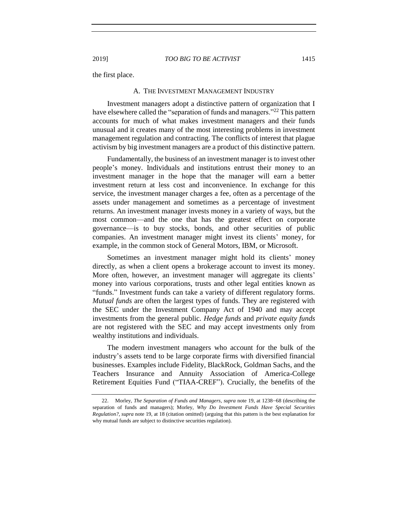<span id="page-8-0"></span>the first place.

# A. THE INVESTMENT MANAGEMENT INDUSTRY

Investment managers adopt a distinctive pattern of organization that I have elsewhere called the "separation of funds and managers."<sup>22</sup> This pattern accounts for much of what makes investment managers and their funds unusual and it creates many of the most interesting problems in investment management regulation and contracting. The conflicts of interest that plague activism by big investment managers are a product of this distinctive pattern.

Fundamentally, the business of an investment manager is to invest other people's money. Individuals and institutions entrust their money to an investment manager in the hope that the manager will earn a better investment return at less cost and inconvenience. In exchange for this service, the investment manager charges a fee, often as a percentage of the assets under management and sometimes as a percentage of investment returns. An investment manager invests money in a variety of ways, but the most common—and the one that has the greatest effect on corporate governance—is to buy stocks, bonds, and other securities of public companies. An investment manager might invest its clients' money, for example, in the common stock of General Motors, IBM, or Microsoft.

Sometimes an investment manager might hold its clients' money directly, as when a client opens a brokerage account to invest its money. More often, however, an investment manager will aggregate its clients' money into various corporations, trusts and other legal entities known as "funds." Investment funds can take a variety of different regulatory forms. *Mutual funds* are often the largest types of funds. They are registered with the SEC under the Investment Company Act of 1940 and may accept investments from the general public. *Hedge funds* and *private equity funds*  are not registered with the SEC and may accept investments only from wealthy institutions and individuals.

The modern investment managers who account for the bulk of the industry's assets tend to be large corporate firms with diversified financial businesses. Examples include Fidelity, BlackRock, Goldman Sachs, and the Teachers Insurance and Annuity Association of America-College Retirement Equities Fund ("TIAA-CREF"). Crucially, the benefits of the

<sup>22.</sup> Morley, *The Separation of Funds and Managers*, *supra* not[e 19,](#page-6-0) at 1238–68 (describing the separation of funds and managers); Morley, *Why Do Investment Funds Have Special Securities Regulation?*, *supra* note [19,](#page-6-0) at 18 (citation omitted) (arguing that this pattern is the best explanation for why mutual funds are subject to distinctive securities regulation).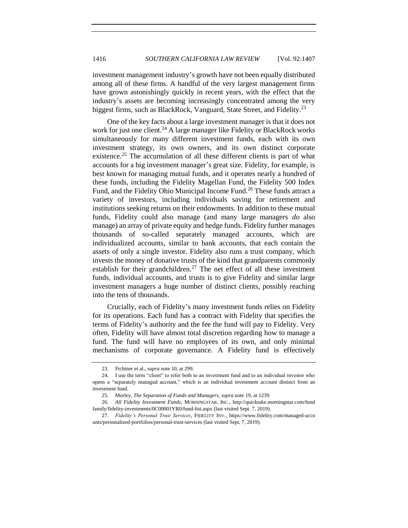investment management industry's growth have not been equally distributed among all of these firms. A handful of the very largest management firms have grown astonishingly quickly in recent years, with the effect that the industry's assets are becoming increasingly concentrated among the very biggest firms, such as BlackRock, Vanguard, State Street, and Fidelity.<sup>23</sup>

One of the key facts about a large investment manager is that it does not work for just one client.<sup>24</sup> A large manager like Fidelity or BlackRock works simultaneously for many different investment funds, each with its own investment strategy, its own owners, and its own distinct corporate existence.<sup>25</sup> The accumulation of all these different clients is part of what accounts for a big investment manager's great size. Fidelity, for example, is best known for managing mutual funds, and it operates nearly a hundred of these funds, including the Fidelity Magellan Fund, the Fidelity 500 Index Fund, and the Fidelity Ohio Municipal Income Fund.<sup>26</sup> These funds attract a variety of investors, including individuals saving for retirement and institutions seeking returns on their endowments. In addition to these mutual funds, Fidelity could also manage (and many large managers *do* also manage) an array of private equity and hedge funds. Fidelity further manages thousands of so-called separately managed accounts, which are individualized accounts, similar to bank accounts, that each contain the assets of only a single investor. Fidelity also runs a trust company, which invests the money of donative trusts of the kind that grandparents commonly establish for their grandchildren.<sup>27</sup> The net effect of all these investment funds, individual accounts, and trusts is to give Fidelity and similar large investment managers a huge number of distinct clients, possibly reaching into the tens of thousands.

Crucially, each of Fidelity's many investment funds relies on Fidelity for its operations. Each fund has a contract with Fidelity that specifies the terms of Fidelity's authority and the fee the fund will pay to Fidelity. Very often, Fidelity will have almost total discretion regarding how to manage a fund. The fund will have no employees of its own, and only minimal mechanisms of corporate governance. A Fidelity fund is effectively

<sup>23.</sup> Fichtner et al., *supra* not[e 10,](#page-3-0) at 299.

<sup>24.</sup> I use the term "client" to refer both to an investment fund and to an individual investor who opens a "separately managed account," which is an individual investment account distinct from an investment fund.

<sup>25.</sup> Morley, *The Separation of Funds and Managers*, *supra* not[e 19,](#page-6-0) at 1239.

<sup>26.</sup> *All Fidelity Investment Funds*, MORNINGSTAR, INC., http://quicktake.morningstar.com/fund family/fidelity-investments/0C00001YR0/fund-list.aspx (last visited Sept. 7, 2019).

<sup>27.</sup> *Fidelity's Personal Trust Services*, FIDELITY INV., https://www.fidelity.com/managed-acco unts/personalized-portfolios/personal-trust-services (last visited Sept. 7, 2019).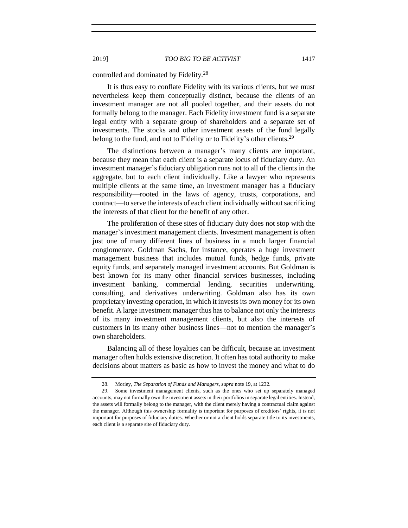controlled and dominated by Fidelity.<sup>28</sup>

It is thus easy to conflate Fidelity with its various clients, but we must nevertheless keep them conceptually distinct, because the clients of an investment manager are not all pooled together, and their assets do not formally belong to the manager. Each Fidelity investment fund is a separate legal entity with a separate group of shareholders and a separate set of investments. The stocks and other investment assets of the fund legally belong to the fund, and not to Fidelity or to Fidelity's other clients.<sup>29</sup>

The distinctions between a manager's many clients are important, because they mean that each client is a separate locus of fiduciary duty. An investment manager's fiduciary obligation runs not to all of the clients in the aggregate, but to each client individually. Like a lawyer who represents multiple clients at the same time, an investment manager has a fiduciary responsibility—rooted in the laws of agency, trusts, corporations, and contract—to serve the interests of each client individually without sacrificing the interests of that client for the benefit of any other.

The proliferation of these sites of fiduciary duty does not stop with the manager's investment management clients. Investment management is often just one of many different lines of business in a much larger financial conglomerate. Goldman Sachs, for instance, operates a huge investment management business that includes mutual funds, hedge funds, private equity funds, and separately managed investment accounts. But Goldman is best known for its many other financial services businesses, including investment banking, commercial lending, securities underwriting, consulting, and derivatives underwriting. Goldman also has its own proprietary investing operation, in which it invests its own money for its own benefit. A large investment manager thus has to balance not only the interests of its many investment management clients, but also the interests of customers in its many other business lines—not to mention the manager's own shareholders.

Balancing all of these loyalties can be difficult, because an investment manager often holds extensive discretion. It often has total authority to make decisions about matters as basic as how to invest the money and what to do

<sup>28.</sup> Morley, *The Separation of Funds and Managers*, *supra* not[e 19,](#page-6-0) at 1232.

<sup>29.</sup> Some investment management clients, such as the ones who set up separately managed accounts, may not formally own the investment assets in their portfolios in separate legal entities. Instead, the assets will formally belong to the manager, with the client merely having a contractual claim against the manager. Although this ownership formality is important for purposes of creditors' rights, it is not important for purposes of fiduciary duties. Whether or not a client holds separate title to its investments, each client is a separate site of fiduciary duty.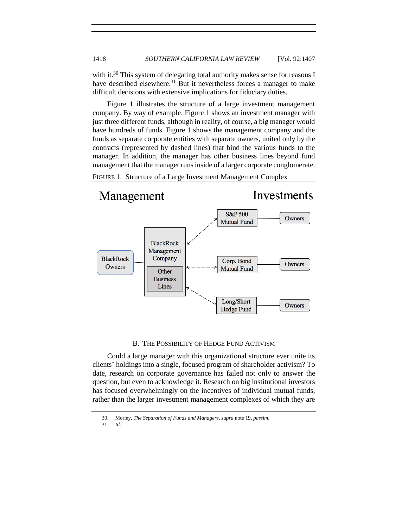with it.<sup>30</sup> This system of delegating total authority makes sense for reasons I have described elsewhere.<sup>31</sup> But it nevertheless forces a manager to make difficult decisions with extensive implications for fiduciary duties.

Figure 1 illustrates the structure of a large investment management company. By way of example, Figure 1 shows an investment manager with just three different funds, although in reality, of course, a big manager would have hundreds of funds. Figure 1 shows the management company and the funds as separate corporate entities with separate owners, united only by the contracts (represented by dashed lines) that bind the various funds to the manager. In addition, the manager has other business lines beyond fund management that the manager runs inside of a larger corporate conglomerate.





#### B. THE POSSIBILITY OF HEDGE FUND ACTIVISM

<span id="page-11-0"></span>Could a large manager with this organizational structure ever unite its clients' holdings into a single, focused program of shareholder activism? To date, research on corporate governance has failed not only to answer the question, but even to acknowledge it. Research on big institutional investors has focused overwhelmingly on the incentives of individual mutual funds, rather than the larger investment management complexes of which they are

<sup>30.</sup> Morley, *The Separation of Funds and Managers*, *supra* note 19, *passim*.

<sup>31.</sup> *Id*.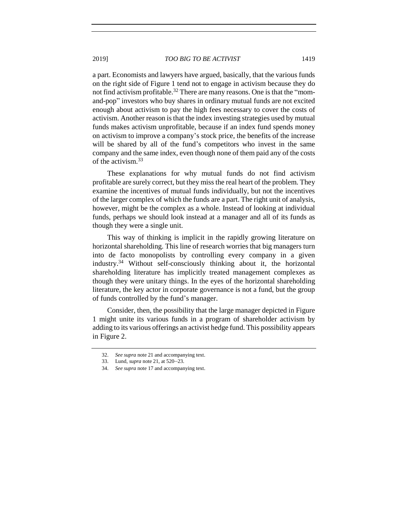a part. Economists and lawyers have argued, basically, that the various funds on the right side of Figure 1 tend not to engage in activism because they do not find activism profitable.<sup>32</sup> There are many reasons. One is that the "momand-pop" investors who buy shares in ordinary mutual funds are not excited enough about activism to pay the high fees necessary to cover the costs of activism. Another reason is that the index investing strategies used by mutual funds makes activism unprofitable, because if an index fund spends money on activism to improve a company's stock price, the benefits of the increase will be shared by all of the fund's competitors who invest in the same company and the same index, even though none of them paid any of the costs of the activism.<sup>33</sup>

These explanations for why mutual funds do not find activism profitable are surely correct, but they miss the real heart of the problem. They examine the incentives of mutual funds individually, but not the incentives of the larger complex of which the funds are a part. The right unit of analysis, however, might be the complex as a whole. Instead of looking at individual funds, perhaps we should look instead at a manager and all of its funds as though they were a single unit.

This way of thinking is implicit in the rapidly growing literature on horizontal shareholding. This line of research worries that big managers turn into de facto monopolists by controlling every company in a given industry.<sup>34</sup> Without self-consciously thinking about it, the horizontal shareholding literature has implicitly treated management complexes as though they were unitary things. In the eyes of the horizontal shareholding literature, the key actor in corporate governance is not a fund, but the group of funds controlled by the fund's manager.

Consider, then, the possibility that the large manager depicted in Figure 1 might unite its various funds in a program of shareholder activism by adding to its various offerings an activist hedge fund. This possibility appears in Figure 2.

<sup>32.</sup> *See supra* not[e 21](#page-6-1) and accompanying text.

<sup>33.</sup> Lund, *supra* not[e 21,](#page-6-1) at 520–23.

<sup>34.</sup> *See supra* not[e 17](#page-3-1) and accompanying text.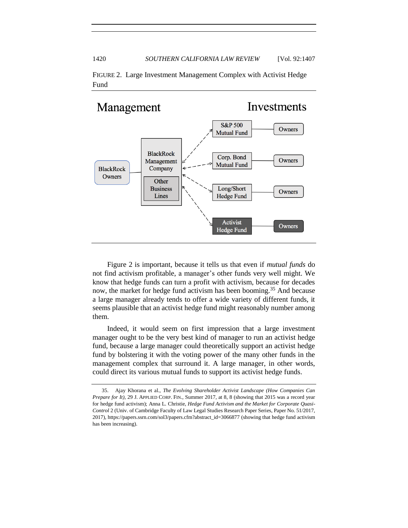

FIGURE 2. Large Investment Management Complex with Activist Hedge Fund

Figure 2 is important, because it tells us that even if *mutual funds* do not find activism profitable, a manager's other funds very well might. We know that hedge funds can turn a profit with activism, because for decades now, the market for hedge fund activism has been booming.<sup>35</sup> And because a large manager already tends to offer a wide variety of different funds, it seems plausible that an activist hedge fund might reasonably number among them.

Indeed, it would seem on first impression that a large investment manager ought to be the very best kind of manager to run an activist hedge fund, because a large manager could theoretically support an activist hedge fund by bolstering it with the voting power of the many other funds in the management complex that surround it. A large manager, in other words, could direct its various mutual funds to support its activist hedge funds.

<sup>35.</sup> Ajay Khorana et al., *The Evolving Shareholder Activist Landscape (How Companies Can Prepare for It)*, 29 J. APPLIED CORP. FIN., Summer 2017, at 8, 8 (showing that 2015 was a record year for hedge fund activism); Anna L. Christie, *Hedge Fund Activism and the Market for Corporate Quasi-Control* 2 (Univ. of Cambridge Faculty of Law Legal Studies Research Paper Series, Paper No. 51/2017, 2017), https://papers.ssrn.com/sol3/papers.cfm?abstract\_id=3066877 (showing that hedge fund activism has been increasing).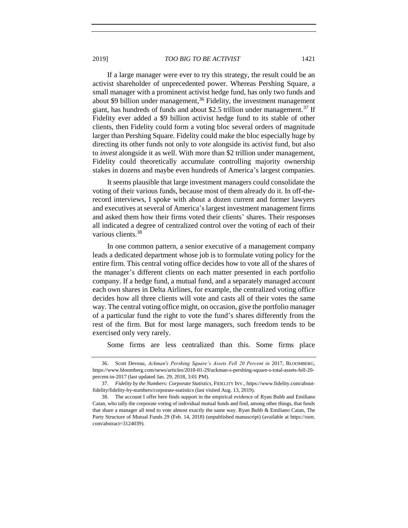<span id="page-14-0"></span>If a large manager were ever to try this strategy, the result could be an activist shareholder of unprecedented power. Whereas Pershing Square, a small manager with a prominent activist hedge fund, has only two funds and about \$9 billion under management,<sup>36</sup> Fidelity, the investment management giant, has hundreds of funds and about \$2.5 trillion under management.<sup>37</sup> If Fidelity ever added a \$9 billion activist hedge fund to its stable of other clients, then Fidelity could form a voting bloc several orders of magnitude larger than Pershing Square. Fidelity could make the bloc especially huge by directing its other funds not only to *vote* alongside its activist fund, but also to *invest* alongside it as well. With more than \$2 trillion under management, Fidelity could theoretically accumulate controlling majority ownership stakes in dozens and maybe even hundreds of America's largest companies.

It seems plausible that large investment managers could consolidate the voting of their various funds, because most of them already do it. In off-therecord interviews, I spoke with about a dozen current and former lawyers and executives at several of America's largest investment management firms and asked them how their firms voted their clients' shares. Their responses all indicated a degree of centralized control over the voting of each of their various clients.<sup>38</sup>

In one common pattern, a senior executive of a management company leads a dedicated department whose job is to formulate voting policy for the entire firm. This central voting office decides how to vote all of the shares of the manager's different clients on each matter presented in each portfolio company. If a hedge fund, a mutual fund, and a separately managed account each own shares in Delta Airlines, for example, the centralized voting office decides how all three clients will vote and casts all of their votes the same way. The central voting office might, on occasion, give the portfolio manager of a particular fund the right to vote the fund's shares differently from the rest of the firm. But for most large managers, such freedom tends to be exercised only very rarely.

Some firms are less centralized than this. Some firms place

<sup>36.</sup> Scott Deveau, *Ackman's Pershing Square's Assets Fell 20 Percent in* 2017, BLOOMBERG, https://www.bloomberg.com/news/articles/2018-01-29/ackman-s-pershing-square-s-total-assets-fell-20 percent-in-2017 (last updated Jan. 29, 2018, 3:01 PM).

<sup>37.</sup> *Fidelity by the Numbers: Corporate Statistics*, FIDELITY INV., https://www.fidelity.com/aboutfidelity/fidelity-by-numbers/corporate-statistics (last visited Aug. 13, 2019).

<sup>38.</sup> The account I offer here finds support in the empirical evidence of Ryan Bubb and Emiliano Catan, who tally the corporate voting of individual mutual funds and find, among other things, that funds that share a manager all tend to vote almost exactly the same way. Ryan Bubb & Emiliano Catan, The Party Structure of Mutual Funds 29 (Feb. 14, 2018) (unpublished manuscript) (available at https://ssrn. com/abstract=3124039).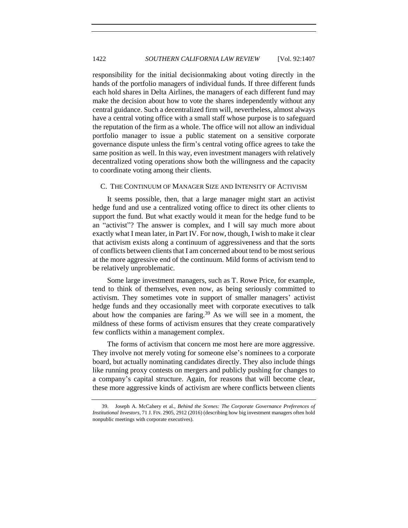responsibility for the initial decisionmaking about voting directly in the hands of the portfolio managers of individual funds. If three different funds each hold shares in Delta Airlines, the managers of each different fund may make the decision about how to vote the shares independently without any central guidance. Such a decentralized firm will, nevertheless, almost always have a central voting office with a small staff whose purpose is to safeguard the reputation of the firm as a whole. The office will not allow an individual portfolio manager to issue a public statement on a sensitive corporate governance dispute unless the firm's central voting office agrees to take the same position as well. In this way, even investment managers with relatively decentralized voting operations show both the willingness and the capacity to coordinate voting among their clients.

# <span id="page-15-0"></span>C. THE CONTINUUM OF MANAGER SIZE AND INTENSITY OF ACTIVISM

It seems possible, then, that a large manager might start an activist hedge fund and use a centralized voting office to direct its other clients to support the fund. But what exactly would it mean for the hedge fund to be an "activist"? The answer is complex, and I will say much more about exactly what I mean later, in Part IV. For now, though, I wish to make it clear that activism exists along a continuum of aggressiveness and that the sorts of conflicts between clients that I am concerned about tend to be most serious at the more aggressive end of the continuum. Mild forms of activism tend to be relatively unproblematic.

Some large investment managers, such as T. Rowe Price, for example, tend to think of themselves, even now, as being seriously committed to activism. They sometimes vote in support of smaller managers' activist hedge funds and they occasionally meet with corporate executives to talk about how the companies are faring.<sup>39</sup> As we will see in a moment, the mildness of these forms of activism ensures that they create comparatively few conflicts within a management complex.

<span id="page-15-1"></span>The forms of activism that concern me most here are more aggressive. They involve not merely voting for someone else's nominees to a corporate board, but actually nominating candidates directly. They also include things like running proxy contests on mergers and publicly pushing for changes to a company's capital structure. Again, for reasons that will become clear, these more aggressive kinds of activism are where conflicts between clients

<sup>39.</sup> Joseph A. McCahery et al., *Behind the Scenes: The Corporate Governance Preferences of Institutional Investors*, 71 J. FIN. 2905, 2912 (2016) (describing how big investment managers often hold nonpublic meetings with corporate executives).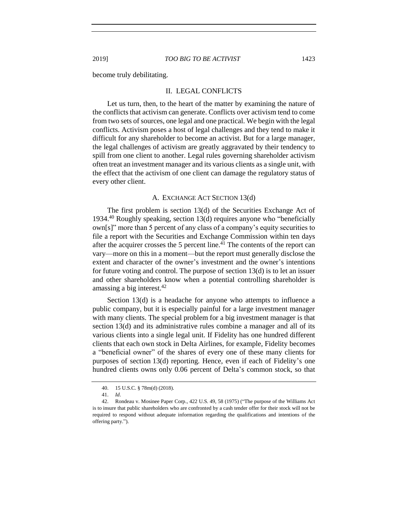<span id="page-16-0"></span>become truly debilitating.

#### II. LEGAL CONFLICTS

Let us turn, then, to the heart of the matter by examining the nature of the conflicts that activism can generate. Conflicts over activism tend to come from two sets of sources, one legal and one practical. We begin with the legal conflicts. Activism poses a host of legal challenges and they tend to make it difficult for any shareholder to become an activist. But for a large manager, the legal challenges of activism are greatly aggravated by their tendency to spill from one client to another. Legal rules governing shareholder activism often treat an investment manager and its various clients as a single unit, with the effect that the activism of one client can damage the regulatory status of every other client.

# A. EXCHANGE ACT SECTION 13(d)

<span id="page-16-1"></span>The first problem is section 13(d) of the Securities Exchange Act of 1934.<sup>40</sup> Roughly speaking, section 13(d) requires anyone who "beneficially own[s]" more than 5 percent of any class of a company's equity securities to file a report with the Securities and Exchange Commission within ten days after the acquirer crosses the 5 percent line. $41$  The contents of the report can vary—more on this in a moment—but the report must generally disclose the extent and character of the owner's investment and the owner's intentions for future voting and control. The purpose of section 13(d) is to let an issuer and other shareholders know when a potential controlling shareholder is amassing a big interest.  $42$ 

Section 13(d) is a headache for anyone who attempts to influence a public company, but it is especially painful for a large investment manager with many clients. The special problem for a big investment manager is that section 13(d) and its administrative rules combine a manager and all of its various clients into a single legal unit. If Fidelity has one hundred different clients that each own stock in Delta Airlines, for example, Fidelity becomes a "beneficial owner" of the shares of every one of these many clients for purposes of section 13(d) reporting. Hence, even if each of Fidelity's one hundred clients owns only 0.06 percent of Delta's common stock, so that

<sup>40.</sup> 15 U.S.C. § 78m(d) (2018).

<sup>41.</sup> *Id*.

<sup>42.</sup> Rondeau v. Mosinee Paper Corp., 422 U.S. 49, 58 (1975) ("The purpose of the Williams Act is to insure that public shareholders who are confronted by a cash tender offer for their stock will not be required to respond without adequate information regarding the qualifications and intentions of the offering party.").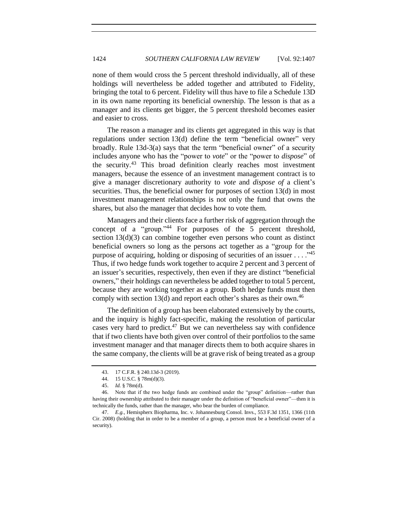none of them would cross the 5 percent threshold individually, all of these holdings will nevertheless be added together and attributed to Fidelity, bringing the total to 6 percent. Fidelity will thus have to file a Schedule 13D in its own name reporting its beneficial ownership. The lesson is that as a manager and its clients get bigger, the 5 percent threshold becomes easier and easier to cross.

The reason a manager and its clients get aggregated in this way is that regulations under section 13(d) define the term "beneficial owner" very broadly. Rule 13d-3(a) says that the term "beneficial owner" of a security includes anyone who has the "power to *vote*" or the "power to *dispose*" of the security.<sup>43</sup> This broad definition clearly reaches most investment managers, because the essence of an investment management contract is to give a manager discretionary authority to *vote* and *dispose of* a client's securities. Thus, the beneficial owner for purposes of section 13(d) in most investment management relationships is not only the fund that owns the shares, but also the manager that decides how to vote them.

Managers and their clients face a further risk of aggregation through the concept of a "group."<sup>44</sup> For purposes of the 5 percent threshold, section 13(d)(3) can combine together even persons who count as distinct beneficial owners so long as the persons act together as a "group for the purpose of acquiring, holding or disposing of securities of an issuer  $\dots$ .  $^{45}$ Thus, if two hedge funds work together to acquire 2 percent and 3 percent of an issuer's securities, respectively, then even if they are distinct "beneficial owners," their holdings can nevertheless be added together to total 5 percent, because they are working together as a group. Both hedge funds must then comply with section 13(d) and report each other's shares as their own.<sup>46</sup>

The definition of a group has been elaborated extensively by the courts, and the inquiry is highly fact-specific, making the resolution of particular cases very hard to predict.<sup>47</sup> But we can nevertheless say with confidence that if two clients have both given over control of their portfolios to the same investment manager and that manager directs them to both acquire shares in the same company, the clients will be at grave risk of being treated as a group

<sup>43.</sup> 17 C.F.R. § 240.13d-3 (2019).

<sup>44.</sup> 15 U.S.C. § 78m(d)(3).

<sup>45.</sup> *Id.* § 78m(d).

<sup>46.</sup> Note that if the two hedge funds are combined under the "group" definition—rather than having their ownership attributed to their manager under the definition of "beneficial owner"—then it is technically the funds, rather than the manager, who bear the burden of compliance.

<sup>47.</sup> *E.g.*, Hemispherx Biopharma, Inc. v. Johannesburg Consol. Invs., 553 F.3d 1351, 1366 (11th Cir. 2008) (holding that in order to be a member of a group, a person must be a beneficial owner of a security).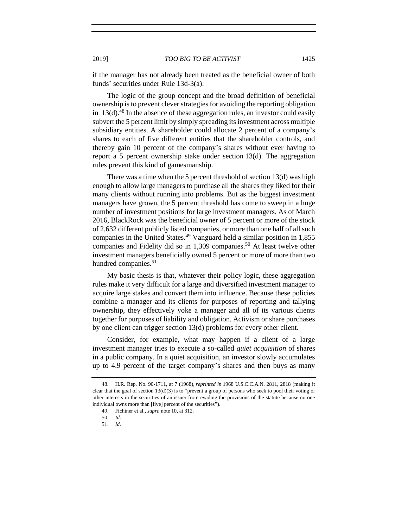if the manager has not already been treated as the beneficial owner of both funds' securities under Rule 13d-3(a).

The logic of the group concept and the broad definition of beneficial ownership is to prevent clever strategies for avoiding the reporting obligation in  $13(d)$ .<sup>48</sup> In the absence of these aggregation rules, an investor could easily subvert the 5 percent limit by simply spreading its investment across multiple subsidiary entities. A shareholder could allocate 2 percent of a company's shares to each of five different entities that the shareholder controls, and thereby gain 10 percent of the company's shares without ever having to report a 5 percent ownership stake under section 13(d). The aggregation rules prevent this kind of gamesmanship.

There was a time when the 5 percent threshold of section 13(d) was high enough to allow large managers to purchase all the shares they liked for their many clients without running into problems. But as the biggest investment managers have grown, the 5 percent threshold has come to sweep in a huge number of investment positions for large investment managers. As of March 2016, BlackRock was the beneficial owner of 5 percent or more of the stock of 2,632 different publicly listed companies, or more than one half of all such companies in the United States.<sup>49</sup> Vanguard held a similar position in 1,855 companies and Fidelity did so in  $1,309$  companies.<sup>50</sup> At least twelve other investment managers beneficially owned 5 percent or more of more than two hundred companies.<sup>51</sup>

My basic thesis is that, whatever their policy logic, these aggregation rules make it very difficult for a large and diversified investment manager to acquire large stakes and convert them into influence. Because these policies combine a manager and its clients for purposes of reporting and tallying ownership, they effectively yoke a manager and all of its various clients together for purposes of liability and obligation. Activism or share purchases by one client can trigger section 13(d) problems for every other client.

Consider, for example, what may happen if a client of a large investment manager tries to execute a so-called *quiet acquisition* of shares in a public company. In a quiet acquisition, an investor slowly accumulates up to 4.9 percent of the target company's shares and then buys as many

<sup>48.</sup> H.R. Rep. No. 90-1711, at 7 (1968), *reprinted in* 1968 U.S.C.C.A.N. 2811, 2818 (making it clear that the goal of section  $13(d)(3)$  is to "prevent a group of persons who seek to pool their voting or other interests in the securities of an issuer from evading the provisions of the statute because no one individual owns more than [five] percent of the securities").

<sup>49.</sup> Fichtner et al., *supra* not[e 10,](#page-3-0) at 312.

<sup>50.</sup> *Id*.

<sup>51.</sup> *Id*.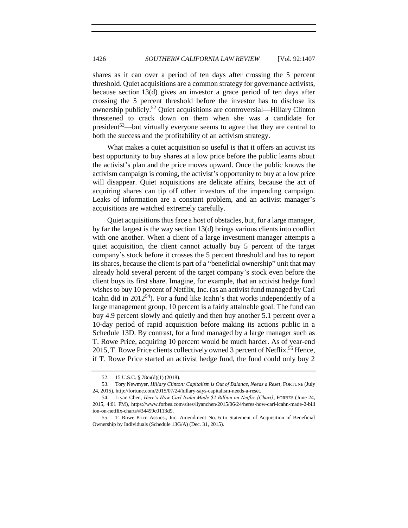shares as it can over a period of ten days after crossing the 5 percent threshold. Quiet acquisitions are a common strategy for governance activists, because section 13(d) gives an investor a grace period of ten days after crossing the 5 percent threshold before the investor has to disclose its ownership publicly.<sup>52</sup> Quiet acquisitions are controversial—Hillary Clinton threatened to crack down on them when she was a candidate for president<sup>53</sup>—but virtually everyone seems to agree that they are central to both the success and the profitability of an activism strategy.

<span id="page-19-0"></span>What makes a quiet acquisition so useful is that it offers an activist its best opportunity to buy shares at a low price before the public learns about the activist's plan and the price moves upward. Once the public knows the activism campaign is coming, the activist's opportunity to buy at a low price will disappear. Quiet acquisitions are delicate affairs, because the act of acquiring shares can tip off other investors of the impending campaign. Leaks of information are a constant problem, and an activist manager's acquisitions are watched extremely carefully.

Quiet acquisitions thus face a host of obstacles, but, for a large manager, by far the largest is the way section 13(d) brings various clients into conflict with one another. When a client of a large investment manager attempts a quiet acquisition, the client cannot actually buy 5 percent of the target company's stock before it crosses the 5 percent threshold and has to report its shares, because the client is part of a "beneficial ownership" unit that may already hold several percent of the target company's stock even before the client buys its first share. Imagine, for example, that an activist hedge fund wishes to buy 10 percent of Netflix, Inc. (as an activist fund managed by Carl Icahn did in  $2012^{54}$ ). For a fund like Icahn's that works independently of a large management group, 10 percent is a fairly attainable goal. The fund can buy 4.9 percent slowly and quietly and then buy another 5.1 percent over a 10-day period of rapid acquisition before making its actions public in a Schedule 13D. By contrast, for a fund managed by a large manager such as T. Rowe Price, acquiring 10 percent would be much harder. As of year-end 2015, T. Rowe Price clients collectively owned 3 percent of Netflix.<sup>55</sup> Hence, if T. Rowe Price started an activist hedge fund, the fund could only buy 2

<sup>52.</sup> 15 U.S.C. § 78m(d)(1) (2018).

<sup>53.</sup> Tory Newmyer, *Hillary Clinton: Capitalism is Out of Balance, Needs a Reset*, FORTUNE (July 24, 2015), http://fortune.com/2015/07/24/hillary-says-capitalism-needs-a-reset.

<sup>54.</sup> Liyan Chen, *Here's How Carl Icahn Made \$2 Billion on Netflix [Chart]*, FORBES (June 24, 2015, 4:01 PM), https://www.forbes.com/sites/liyanchen/2015/06/24/heres-how-carl-icahn-made-2-bill ion-on-netflix-charts/#34499c0113d9.

<sup>55.</sup> T. Rowe Price Assocs., Inc. Amendment No. 6 to Statement of Acquisition of Beneficial Ownership by Individuals (Schedule 13G/A) (Dec. 31, 2015).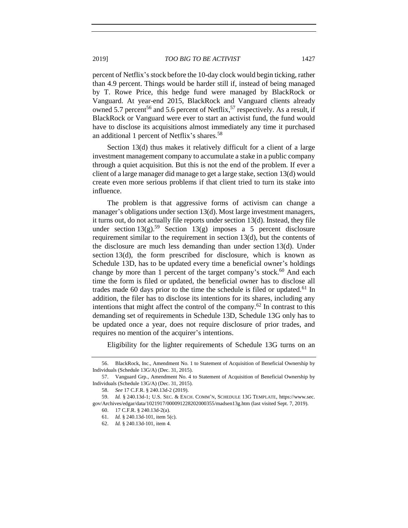percent of Netflix's stock before the 10-day clock would begin ticking, rather than 4.9 percent. Things would be harder still if, instead of being managed by T. Rowe Price, this hedge fund were managed by BlackRock or Vanguard. At year-end 2015, BlackRock and Vanguard clients already owned 5.7 percent<sup>56</sup> and 5.6 percent of Netflix,<sup>57</sup> respectively. As a result, if BlackRock or Vanguard were ever to start an activist fund, the fund would have to disclose its acquisitions almost immediately any time it purchased an additional 1 percent of Netflix's shares.<sup>58</sup>

Section 13(d) thus makes it relatively difficult for a client of a large investment management company to accumulate a stake in a public company through a quiet acquisition. But this is not the end of the problem. If ever a client of a large manager did manage to get a large stake, section 13(d) would create even more serious problems if that client tried to turn its stake into influence.

The problem is that aggressive forms of activism can change a manager's obligations under section 13(d). Most large investment managers, it turns out, do not actually file reports under section 13(d). Instead, they file under section  $13(g)$ .<sup>59</sup> Section 13(g) imposes a 5 percent disclosure requirement similar to the requirement in section 13(d), but the contents of the disclosure are much less demanding than under section 13(d). Under section 13(d), the form prescribed for disclosure, which is known as Schedule 13D, has to be updated every time a beneficial owner's holdings change by more than 1 percent of the target company's stock.<sup>60</sup> And each time the form is filed or updated, the beneficial owner has to disclose all trades made 60 days prior to the time the schedule is filed or updated.<sup>61</sup> In addition, the filer has to disclose its intentions for its shares, including any intentions that might affect the control of the company.<sup>62</sup> In contrast to this demanding set of requirements in Schedule 13D, Schedule 13G only has to be updated once a year, does not require disclosure of prior trades, and requires no mention of the acquirer's intentions.

Eligibility for the lighter requirements of Schedule 13G turns on an

<sup>56.</sup> BlackRock, Inc., Amendment No. 1 to Statement of Acquisition of Beneficial Ownership by Individuals (Schedule 13G/A) (Dec. 31, 2015).

<sup>57.</sup> Vanguard Grp., Amendment No. 4 to Statement of Acquisition of Beneficial Ownership by Individuals (Schedule 13G/A) (Dec. 31, 2015).

<sup>58.</sup> *See* 17 C.F.R. § 240.13d-2 (2019).

<sup>59.</sup> *Id.* § 240.13d-1; U.S. SEC. & EXCH. COMM'N, SCHEDULE 13G TEMPLATE, https://www.sec. gov/Archives/edgar/data/1021917/000091228202000355/madsen13g.htm (last visited Sept. 7, 2019).

<sup>60.</sup> 17 C.F.R. § 240.13d-2(a).

<sup>61.</sup> *Id.* § 240.13d-101, item 5(c).

<sup>62.</sup> *Id.* § 240.13d-101, item 4.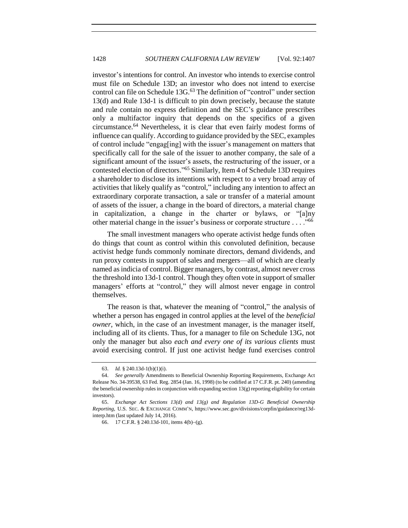investor's intentions for control. An investor who intends to exercise control must file on Schedule 13D; an investor who does not intend to exercise control can file on Schedule 13G.<sup>63</sup> The definition of "control" under section 13(d) and Rule 13d-1 is difficult to pin down precisely, because the statute and rule contain no express definition and the SEC's guidance prescribes only a multifactor inquiry that depends on the specifics of a given circumstance.<sup>64</sup> Nevertheless, it is clear that even fairly modest forms of influence can qualify. According to guidance provided by the SEC, examples of control include "engag[ing] with the issuer's management on matters that specifically call for the sale of the issuer to another company, the sale of a significant amount of the issuer's assets, the restructuring of the issuer, or a contested election of directors." <sup>65</sup> Similarly, Item 4 of Schedule 13D requires a shareholder to disclose its intentions with respect to a very broad array of activities that likely qualify as "control," including any intention to affect an extraordinary corporate transaction, a sale or transfer of a material amount of assets of the issuer, a change in the board of directors, a material change in capitalization, a change in the charter or bylaws, or "[a]ny other material change in the issuer's business or corporate structure . . . ."<sup>66</sup>

<span id="page-21-0"></span>The small investment managers who operate activist hedge funds often do things that count as control within this convoluted definition, because activist hedge funds commonly nominate directors, demand dividends, and run proxy contests in support of sales and mergers—all of which are clearly named as indicia of control. Bigger managers, by contrast, almost never cross the threshold into 13d-1 control. Though they often vote in support of smaller managers' efforts at "control," they will almost never engage in control themselves.

The reason is that, whatever the meaning of "control," the analysis of whether a person has engaged in control applies at the level of the *beneficial owner*, which, in the case of an investment manager, is the manager itself, including all of its clients. Thus, for a manager to file on Schedule 13G, not only the manager but also *each and every one of its various clients* must avoid exercising control. If just one activist hedge fund exercises control

<sup>63.</sup> *Id.* § 240.13d-1(b)(1)(i).

<sup>64.</sup> *See generally* Amendments to Beneficial Ownership Reporting Requirements, Exchange Act Release No. 34-39538, 63 Fed. Reg. 2854 (Jan. 16, 1998) (to be codified at 17 C.F.R. pt. 240) (amending the beneficial ownership rules in conjunction with expanding section 13(g) reporting eligibility for certain investors).

<sup>65.</sup> *Exchange Act Sections 13(d) and 13(g) and Regulation 13D-G Beneficial Ownership Reporting*, U.S. SEC. & EXCHANGE COMM'N, https://www.sec.gov/divisions/corpfin/guidance/reg13dinterp.htm (last updated July 14, 2016).

<sup>66.</sup> 17 C.F.R. § 240.13d-101, items 4(b)−(g).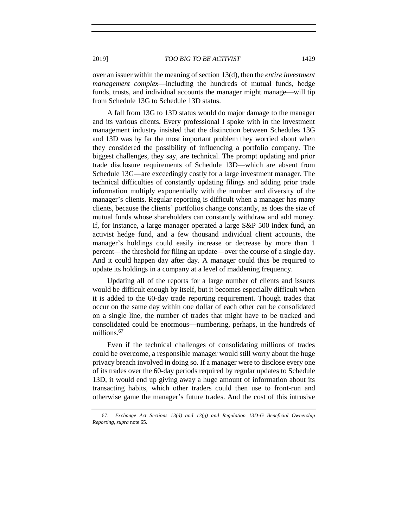over an issuer within the meaning of section 13(d), then the *entire investment management complex*—including the hundreds of mutual funds, hedge funds, trusts, and individual accounts the manager might manage—will tip from Schedule 13G to Schedule 13D status.

A fall from 13G to 13D status would do major damage to the manager and its various clients. Every professional I spoke with in the investment management industry insisted that the distinction between Schedules 13G and 13D was by far the most important problem they worried about when they considered the possibility of influencing a portfolio company. The biggest challenges, they say, are technical. The prompt updating and prior trade disclosure requirements of Schedule 13D—which are absent from Schedule 13G—are exceedingly costly for a large investment manager. The technical difficulties of constantly updating filings and adding prior trade information multiply exponentially with the number and diversity of the manager's clients. Regular reporting is difficult when a manager has many clients, because the clients' portfolios change constantly, as does the size of mutual funds whose shareholders can constantly withdraw and add money. If, for instance, a large manager operated a large S&P 500 index fund, an activist hedge fund, and a few thousand individual client accounts, the manager's holdings could easily increase or decrease by more than 1 percent—the threshold for filing an update—over the course of a single day. And it could happen day after day. A manager could thus be required to update its holdings in a company at a level of maddening frequency.

Updating all of the reports for a large number of clients and issuers would be difficult enough by itself, but it becomes especially difficult when it is added to the 60-day trade reporting requirement. Though trades that occur on the same day within one dollar of each other can be consolidated on a single line, the number of trades that might have to be tracked and consolidated could be enormous—numbering, perhaps, in the hundreds of millions.<sup>67</sup>

Even if the technical challenges of consolidating millions of trades could be overcome, a responsible manager would still worry about the huge privacy breach involved in doing so. If a manager were to disclose every one of its trades over the 60-day periods required by regular updates to Schedule 13D, it would end up giving away a huge amount of information about its transacting habits, which other traders could then use to front-run and otherwise game the manager's future trades. And the cost of this intrusive

<sup>67.</sup> *Exchange Act Sections 13(d) and 13(g) and Regulation 13D-G Beneficial Ownership Reporting*, *supra* not[e 65.](#page-21-0)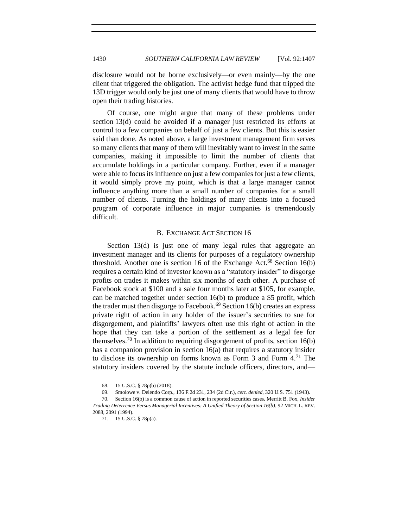disclosure would not be borne exclusively—or even mainly—by the one client that triggered the obligation. The activist hedge fund that tripped the 13D trigger would only be just one of many clients that would have to throw open their trading histories.

Of course, one might argue that many of these problems under section 13(d) could be avoided if a manager just restricted its efforts at control to a few companies on behalf of just a few clients. But this is easier said than done. As noted above, a large investment management firm serves so many clients that many of them will inevitably want to invest in the same companies, making it impossible to limit the number of clients that accumulate holdings in a particular company. Further, even if a manager were able to focus its influence on just a few companies for just a few clients, it would simply prove my point, which is that a large manager cannot influence anything more than a small number of companies for a small number of clients. Turning the holdings of many clients into a focused program of corporate influence in major companies is tremendously difficult.

#### B. EXCHANGE ACT SECTION 16

<span id="page-23-0"></span>Section 13(d) is just one of many legal rules that aggregate an investment manager and its clients for purposes of a regulatory ownership threshold. Another one is section 16 of the Exchange Act.<sup>68</sup> Section 16(b) requires a certain kind of investor known as a "statutory insider" to disgorge profits on trades it makes within six months of each other. A purchase of Facebook stock at \$100 and a sale four months later at \$105, for example, can be matched together under section 16(b) to produce a \$5 profit, which the trader must then disgorge to Facebook.<sup>69</sup> Section 16(b) creates an express private right of action in any holder of the issuer's securities to sue for disgorgement, and plaintiffs' lawyers often use this right of action in the hope that they can take a portion of the settlement as a legal fee for themselves.<sup>70</sup> In addition to requiring disgorgement of profits, section  $16(b)$ has a companion provision in section 16(a) that requires a statutory insider to disclose its ownership on forms known as Form  $3$  and Form  $4.^{71}$  The statutory insiders covered by the statute include officers, directors, and—

<sup>68.</sup> 15 U.S.C. § 78p(b) (2018).

<sup>69.</sup> Smolowe v. Delendo Corp., 136 F.2d 231, 234 (2d Cir.), *cert. denied*, 320 U.S. 751 (1943).

<sup>70.</sup> Section 16(b) is a common cause of action in reported securities cases**.** Merritt B. Fox, *Insider Trading Deterrence Versus Managerial Incentives: A Unified Theory of Section 16(b)*, 92 MICH. L. REV. 2088, 2091 (1994).

<sup>71.</sup> 15 U.S.C. § 78p(a).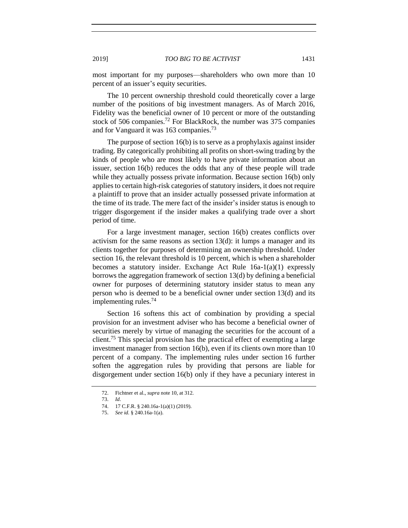most important for my purposes—shareholders who own more than 10 percent of an issuer's equity securities.

The 10 percent ownership threshold could theoretically cover a large number of the positions of big investment managers. As of March 2016, Fidelity was the beneficial owner of 10 percent or more of the outstanding stock of 506 companies.<sup>72</sup> For BlackRock, the number was 375 companies and for Vanguard it was 163 companies.<sup>73</sup>

The purpose of section 16(b) is to serve as a prophylaxis against insider trading. By categorically prohibiting all profits on short-swing trading by the kinds of people who are most likely to have private information about an issuer, section 16(b) reduces the odds that any of these people will trade while they actually possess private information. Because section 16(b) only applies to certain high-risk categories of statutory insiders, it does not require a plaintiff to prove that an insider actually possessed private information at the time of its trade. The mere fact of the insider's insider status is enough to trigger disgorgement if the insider makes a qualifying trade over a short period of time.

For a large investment manager, section 16(b) creates conflicts over activism for the same reasons as section 13(d): it lumps a manager and its clients together for purposes of determining an ownership threshold. Under section 16, the relevant threshold is 10 percent, which is when a shareholder becomes a statutory insider. Exchange Act Rule 16a-1(a)(1) expressly borrows the aggregation framework of section 13(d) by defining a beneficial owner for purposes of determining statutory insider status to mean any person who is deemed to be a beneficial owner under section 13(d) and its implementing rules.<sup>74</sup>

Section 16 softens this act of combination by providing a special provision for an investment adviser who has become a beneficial owner of securities merely by virtue of managing the securities for the account of a client.<sup>75</sup> This special provision has the practical effect of exempting a large investment manager from section 16(b), even if its clients own more than 10 percent of a company. The implementing rules under section 16 further soften the aggregation rules by providing that persons are liable for disgorgement under section 16(b) only if they have a pecuniary interest in

<sup>72.</sup> Fichtner et al., *supra* note [10,](#page-3-0) at 312.

<sup>73.</sup> *Id*.

<sup>74.</sup> 17 C.F.R. § 240.16a-1(a)(1) (2019).

<sup>75.</sup> *See id.* § 240.16a-1(a).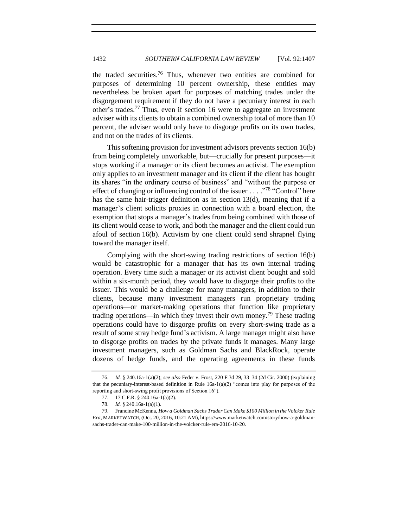the traded securities.<sup>76</sup> Thus, whenever two entities are combined for purposes of determining 10 percent ownership, these entities may nevertheless be broken apart for purposes of matching trades under the disgorgement requirement if they do not have a pecuniary interest in each other's trades.<sup>77</sup> Thus, even if section 16 were to aggregate an investment adviser with its clients to obtain a combined ownership total of more than 10 percent, the adviser would only have to disgorge profits on its own trades, and not on the trades of its clients.

This softening provision for investment advisors prevents section 16(b) from being completely unworkable, but—crucially for present purposes—it stops working if a manager or its client becomes an activist. The exemption only applies to an investment manager and its client if the client has bought its shares "in the ordinary course of business" and "without the purpose or effect of changing or influencing control of the issuer  $\ldots$  ."<sup>78</sup> "Control" here has the same hair-trigger definition as in section 13(d), meaning that if a manager's client solicits proxies in connection with a board election, the exemption that stops a manager's trades from being combined with those of its client would cease to work, and both the manager and the client could run afoul of section 16(b). Activism by one client could send shrapnel flying toward the manager itself.

Complying with the short-swing trading restrictions of section 16(b) would be catastrophic for a manager that has its own internal trading operation. Every time such a manager or its activist client bought and sold within a six-month period, they would have to disgorge their profits to the issuer. This would be a challenge for many managers, in addition to their clients, because many investment managers run proprietary trading operations—or market-making operations that function like proprietary trading operations—in which they invest their own money.<sup>79</sup> These trading operations could have to disgorge profits on every short-swing trade as a result of some stray hedge fund's activism. A large manager might also have to disgorge profits on trades by the private funds it manages. Many large investment managers, such as Goldman Sachs and BlackRock, operate dozens of hedge funds, and the operating agreements in these funds

<sup>76.</sup> *Id.* § 240.16a-1(a)(2); *see also* Feder v. Frost, 220 F.3d 29, 33–34 (2d Cir. 2000) (explaining that the pecuniary-interest-based definition in Rule 16a-1(a)(2) "comes into play for purposes of the reporting and short-swing profit provisions of Section 16").

<sup>77.</sup> 17 C.F.R. § 240.16a-1(a)(2).

<sup>78.</sup> *Id.* § 240.16a-1(a)(1).

<sup>79.</sup> Francine McKenna, *How a Goldman Sachs Trader Can Make \$100 Million in the Volcker Rule Era*, MARKETWATCH, (Oct. 20, 2016, 10:21 AM), https://www.marketwatch.com/story/how-a-goldmansachs-trader-can-make-100-million-in-the-volcker-rule-era-2016-10-20.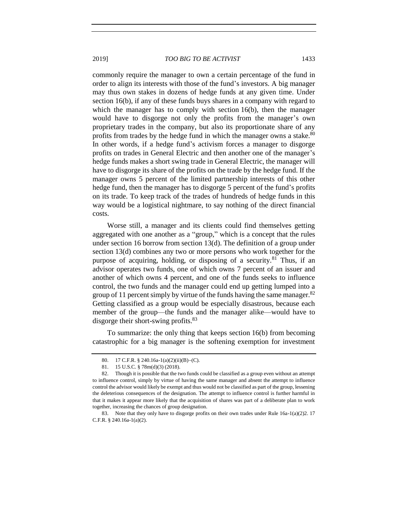commonly require the manager to own a certain percentage of the fund in order to align its interests with those of the fund's investors. A big manager may thus own stakes in dozens of hedge funds at any given time. Under section 16(b), if any of these funds buys shares in a company with regard to which the manager has to comply with section 16(b), then the manager would have to disgorge not only the profits from the manager's own proprietary trades in the company, but also its proportionate share of any profits from trades by the hedge fund in which the manager owns a stake. $80$ In other words, if a hedge fund's activism forces a manager to disgorge profits on trades in General Electric and then another one of the manager's hedge funds makes a short swing trade in General Electric, the manager will have to disgorge its share of the profits on the trade by the hedge fund. If the manager owns 5 percent of the limited partnership interests of this other hedge fund, then the manager has to disgorge 5 percent of the fund's profits on its trade. To keep track of the trades of hundreds of hedge funds in this way would be a logistical nightmare, to say nothing of the direct financial costs.

Worse still, a manager and its clients could find themselves getting aggregated with one another as a "group," which is a concept that the rules under section 16 borrow from section 13(d). The definition of a group under section 13(d) combines any two or more persons who work together for the purpose of acquiring, holding, or disposing of a security.<sup>81</sup> Thus, if an advisor operates two funds, one of which owns 7 percent of an issuer and another of which owns 4 percent, and one of the funds seeks to influence control, the two funds and the manager could end up getting lumped into a group of 11 percent simply by virtue of the funds having the same manager.<sup>82</sup> Getting classified as a group would be especially disastrous, because each member of the group—the funds and the manager alike—would have to disgorge their short-swing profits.<sup>83</sup>

To summarize: the only thing that keeps section 16(b) from becoming catastrophic for a big manager is the softening exemption for investment

<sup>80. 17</sup> C.F.R. § 240.16a-1(a)(2)(ii)(B)–(C).

<sup>81.</sup> 15 U.S.C. § 78m(d)(3) (2018).

<sup>82.</sup> Though it is possible that the two funds could be classified as a group even without an attempt to influence control, simply by virtue of having the same manager and absent the attempt to influence control the advisor would likely be exempt and thus would not be classified as part of the group, lessening the deleterious consequences of the designation. The attempt to influence control is further harmful in that it makes it appear more likely that the acquisition of shares was part of a deliberate plan to work together, increasing the chances of group designation.

<sup>83.</sup> Note that they only have to disgorge profits on their own trades under Rule 16a-1(a)(2)2. 17 C.F.R. § 240.16a-1(a)(2).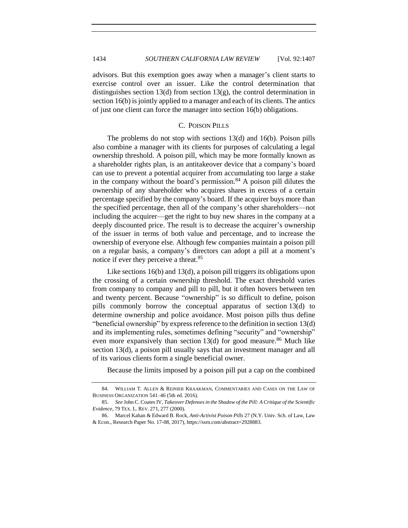advisors. But this exemption goes away when a manager's client starts to exercise control over an issuer. Like the control determination that distinguishes section 13(d) from section 13(g), the control determination in section 16(b) is jointly applied to a manager and each of its clients. The antics of just one client can force the manager into section 16(b) obligations.

## C. POISON PILLS

<span id="page-27-0"></span>The problems do not stop with sections 13(d) and 16(b). Poison pills also combine a manager with its clients for purposes of calculating a legal ownership threshold. A poison pill, which may be more formally known as a shareholder rights plan, is an antitakeover device that a company's board can use to prevent a potential acquirer from accumulating too large a stake in the company without the board's permission.<sup>84</sup> A poison pill dilutes the ownership of any shareholder who acquires shares in excess of a certain percentage specified by the company's board. If the acquirer buys more than the specified percentage, then all of the company's other shareholders—not including the acquirer—get the right to buy new shares in the company at a deeply discounted price. The result is to decrease the acquirer's ownership of the issuer in terms of both value and percentage, and to increase the ownership of everyone else. Although few companies maintain a poison pill on a regular basis, a company's directors can adopt a pill at a moment's notice if ever they perceive a threat.<sup>85</sup>

Like sections 16(b) and 13(d), a poison pill triggers its obligations upon the crossing of a certain ownership threshold. The exact threshold varies from company to company and pill to pill, but it often hovers between ten and twenty percent. Because "ownership" is so difficult to define, poison pills commonly borrow the conceptual apparatus of section 13(d) to determine ownership and police avoidance. Most poison pills thus define "beneficial ownership" by express reference to the definition in section 13(d) and its implementing rules, sometimes defining "security" and "ownership" even more expansively than section  $13(d)$  for good measure.<sup>86</sup> Much like section 13(d), a poison pill usually says that an investment manager and all of its various clients form a single beneficial owner.

<span id="page-27-1"></span>Because the limits imposed by a poison pill put a cap on the combined

<sup>84.</sup> WILLIAM T. ALLEN & REINIER KRAAKMAN, COMMENTARIES AND CASES ON THE LAW OF BUSINESS ORGANIZATION 541–46 (5th ed. 2016).

<sup>85.</sup> *See* John C. Coates IV, *Takeover Defenses in the Shadow of the Pill: A Critique of the Scientific Evidence*, 79 TEX. L. REV. 271, 277 (2000).

<sup>86.</sup> Marcel Kahan & Edward B. Rock, *Anti-Activist Poison Pills* 27 (N.Y. Univ. Sch. of Law, Law & Econ., Research Paper No. 17-08, 2017), https://ssrn.com/abstract=2928883.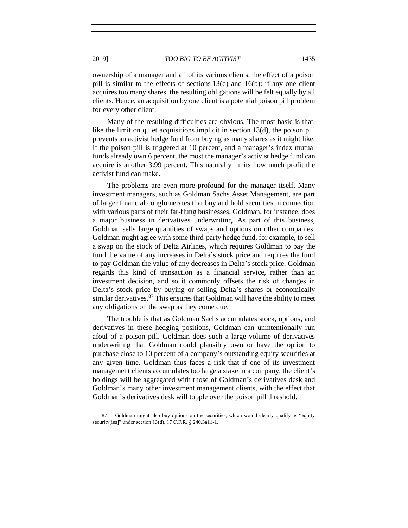ownership of a manager and all of its various clients, the effect of a poison pill is similar to the effects of sections 13(d) and 16(b): if any one client acquires too many shares, the resulting obligations will be felt equally by all clients. Hence, an acquisition by one client is a potential poison pill problem for every other client.

Many of the resulting difficulties are obvious. The most basic is that, like the limit on quiet acquisitions implicit in section 13(d), the poison pill prevents an activist hedge fund from buying as many shares as it might like. If the poison pill is triggered at 10 percent, and a manager's index mutual funds already own 6 percent, the most the manager's activist hedge fund can acquire is another 3.99 percent. This naturally limits how much profit the activist fund can make.

The problems are even more profound for the manager itself. Many investment managers, such as Goldman Sachs Asset Management, are part of larger financial conglomerates that buy and hold securities in connection with various parts of their far-flung businesses. Goldman, for instance, does a major business in derivatives underwriting. As part of this business, Goldman sells large quantities of swaps and options on other companies. Goldman might agree with some third-party hedge fund, for example, to sell a swap on the stock of Delta Airlines, which requires Goldman to pay the fund the value of any increases in Delta's stock price and requires the fund to pay Goldman the value of any decreases in Delta's stock price. Goldman regards this kind of transaction as a financial service, rather than an investment decision, and so it commonly offsets the risk of changes in Delta's stock price by buying or selling Delta's shares or economically similar derivatives.<sup>87</sup> This ensures that Goldman will have the ability to meet any obligations on the swap as they come due.

The trouble is that as Goldman Sachs accumulates stock, options, and derivatives in these hedging positions, Goldman can unintentionally run afoul of a poison pill. Goldman does such a large volume of derivatives underwriting that Goldman could plausibly own or have the option to purchase close to 10 percent of a company's outstanding equity securities at any given time. Goldman thus faces a risk that if one of its investment management clients accumulates too large a stake in a company, the client's holdings will be aggregated with those of Goldman's derivatives desk and Goldman's many other investment management clients, with the effect that Goldman's derivatives desk will topple over the poison pill threshold.

<sup>87.</sup> Goldman might also buy options on the securities, which would clearly qualify as "equity security[ies]" under section 13(d). 17 C.F.R. § 240.3a11-1.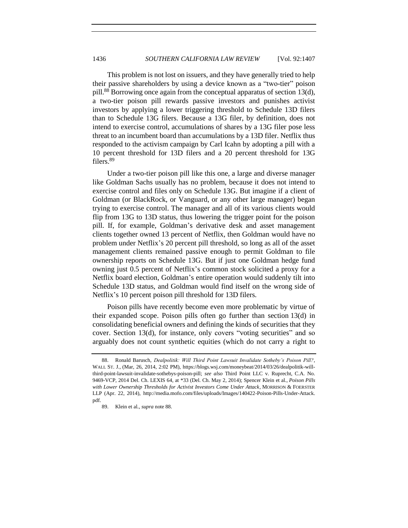<span id="page-29-0"></span>This problem is not lost on issuers, and they have generally tried to help their passive shareholders by using a device known as a "two-tier" poison pill.<sup>88</sup> Borrowing once again from the conceptual apparatus of section 13(d), a two-tier poison pill rewards passive investors and punishes activist investors by applying a lower triggering threshold to Schedule 13D filers than to Schedule 13G filers. Because a 13G filer, by definition, does not intend to exercise control, accumulations of shares by a 13G filer pose less threat to an incumbent board than accumulations by a 13D filer. Netflix thus responded to the activism campaign by Carl Icahn by adopting a pill with a 10 percent threshold for 13D filers and a 20 percent threshold for 13G filers.<sup>89</sup>

Under a two-tier poison pill like this one, a large and diverse manager like Goldman Sachs usually has no problem, because it does not intend to exercise control and files only on Schedule 13G. But imagine if a client of Goldman (or BlackRock, or Vanguard, or any other large manager) began trying to exercise control. The manager and all of its various clients would flip from 13G to 13D status, thus lowering the trigger point for the poison pill. If, for example, Goldman's derivative desk and asset management clients together owned 13 percent of Netflix, then Goldman would have no problem under Netflix's 20 percent pill threshold, so long as all of the asset management clients remained passive enough to permit Goldman to file ownership reports on Schedule 13G. But if just one Goldman hedge fund owning just 0.5 percent of Netflix's common stock solicited a proxy for a Netflix board election, Goldman's entire operation would suddenly tilt into Schedule 13D status, and Goldman would find itself on the wrong side of Netflix's 10 percent poison pill threshold for 13D filers.

Poison pills have recently become even more problematic by virtue of their expanded scope. Poison pills often go further than section 13(d) in consolidating beneficial owners and defining the kinds of securities that they cover. Section 13(d), for instance, only covers "voting securities" and so arguably does not count synthetic equities (which do not carry a right to

<sup>88.</sup> Ronald Barusch, *Dealpolitik: Will Third Point Lawsuit Invalidate Sotheby's Poison Pill?*, WALL ST. J., (Mar, 26, 2014, 2:02 PM), https://blogs.wsj.com/moneybeat/2014/03/26/dealpolitik-willthird-point-lawsuit-invalidate-sothebys-poison-pill; *see also* Third Point LLC v. Ruprecht, C.A. No. 9469-VCP, 2014 Del. Ch. LEXIS 64, at \*33 (Del. Ch. May 2, 2014); Spencer Klein et al., *Poison Pills with Lower Ownership Thresholds for Activist Investors Come Under Attack*, MORRISON & FOERSTER LLP (Apr. 22, 2014), http://media.mofo.com/files/uploads/Images/140422-Poison-Pills-Under-Attack. pdf.

<sup>89.</sup> Klein et al., *supra* not[e 88.](#page-29-0)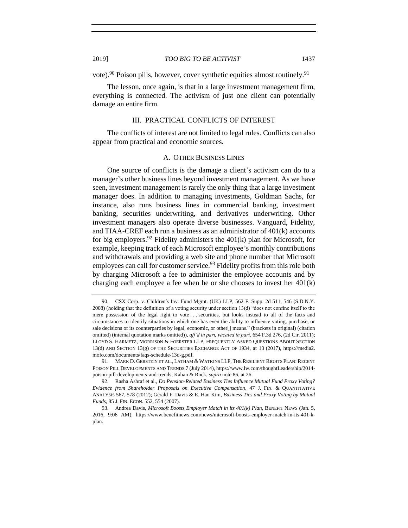vote).<sup>90</sup> Poison pills, however, cover synthetic equities almost routinely.<sup>91</sup>

The lesson, once again, is that in a large investment management firm, everything is connected. The activism of just one client can potentially damage an entire firm.

## III. PRACTICAL CONFLICTS OF INTEREST

<span id="page-30-1"></span><span id="page-30-0"></span>The conflicts of interest are not limited to legal rules. Conflicts can also appear from practical and economic sources.

#### A. OTHER BUSINESS LINES

One source of conflicts is the damage a client's activism can do to a manager's other business lines beyond investment management. As we have seen, investment management is rarely the only thing that a large investment manager does. In addition to managing investments, Goldman Sachs, for instance, also runs business lines in commercial banking, investment banking, securities underwriting, and derivatives underwriting. Other investment managers also operate diverse businesses. Vanguard, Fidelity, and TIAA-CREF each run a business as an administrator of 401(k) accounts for big employers.<sup>92</sup> Fidelity administers the  $401(k)$  plan for Microsoft, for example, keeping track of each Microsoft employee's monthly contributions and withdrawals and providing a web site and phone number that Microsoft employees can call for customer service.<sup>93</sup> Fidelity profits from this role both by charging Microsoft a fee to administer the employee accounts and by charging each employee a fee when he or she chooses to invest her  $401(k)$ 

<sup>90.</sup> CSX Corp. v. Children's Inv. Fund Mgmt. (UK) LLP, 562 F. Supp. 2d 511, 546 (S.D.N.Y. 2008) (holding that the definition of a voting security under section 13(d) "does not confine itself to the mere possession of the legal right to vote . . . securities, but looks instead to all of the facts and circumstances to identify situations in which one has even the ability to influence voting, purchase, or sale decisions of its counterparties by legal, economic, or other[] means." (brackets in original) (citation omitted) (internal quotation marks omitted)), *aff'd in part, vacated in part*, 654 F.3d 276, (2d Cir. 2011); LLOYD S. HARMETZ, MORRISON & FOERSTER LLP, FREQUENTLY ASKED QUESTIONS ABOUT SECTION 13(d) AND SECTION 13(g) OF THE SECURITIES EXCHANGE ACT OF 1934, at 13 (2017), https://media2. mofo.com/documents/faqs-schedule-13d-g.pdf.

<sup>91.</sup> MARK D. GERSTEIN ET AL., LATHAM & WATKINS LLP, THE RESILIENT RIGHTS PLAN: RECENT POISON PILL DEVELOPMENTS AND TRENDS 7 (July 2014), https://www.lw.com/thoughtLeadership/2014 poison-pill-developments-and-trends; Kahan & Rock, *supra* not[e 86,](#page-27-1) at 26.

<sup>92.</sup> Rasha Ashraf et al., *Do Pension-Related Business Ties Influence Mutual Fund Proxy Voting? Evidence from Shareholder Proposals on Executive Compensation*, 47 J. FIN. & QUANTITATIVE ANALYSIS 567, 578 (2012); Gerald F. Davis & E. Han Kim, *Business Ties and Proxy Voting by Mutual Funds*, 85 J. FIN. ECON. 552, 554 (2007).

<sup>93.</sup> Andrea Davis, *Microsoft Boosts Employer Match in its 401(k) Plan*, BENEFIT NEWS (Jan. 5, 2016, 9:06 AM), https://www.benefitnews.com/news/microsoft-boosts-employer-match-in-its-401-kplan.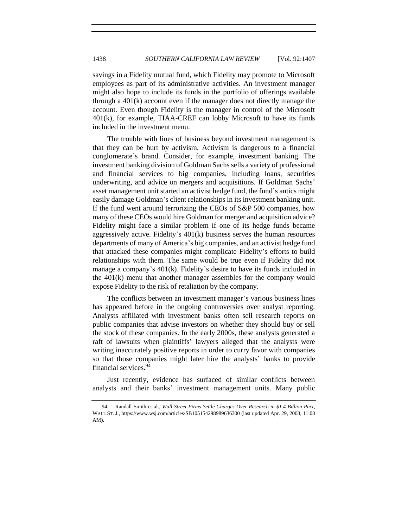savings in a Fidelity mutual fund, which Fidelity may promote to Microsoft employees as part of its administrative activities. An investment manager might also hope to include its funds in the portfolio of offerings available through a 401(k) account even if the manager does not directly manage the account. Even though Fidelity is the manager in control of the Microsoft 401(k), for example, TIAA-CREF can lobby Microsoft to have its funds included in the investment menu.

The trouble with lines of business beyond investment management is that they can be hurt by activism. Activism is dangerous to a financial conglomerate's brand. Consider, for example, investment banking. The investment banking division of Goldman Sachs sells a variety of professional and financial services to big companies, including loans, securities underwriting, and advice on mergers and acquisitions. If Goldman Sachs' asset management unit started an activist hedge fund, the fund's antics might easily damage Goldman's client relationships in its investment banking unit. If the fund went around terrorizing the CEOs of S&P 500 companies, how many of these CEOs would hire Goldman for merger and acquisition advice? Fidelity might face a similar problem if one of its hedge funds became aggressively active. Fidelity's 401(k) business serves the human resources departments of many of America's big companies, and an activist hedge fund that attacked these companies might complicate Fidelity's efforts to build relationships with them. The same would be true even if Fidelity did not manage a company's 401(k). Fidelity's desire to have its funds included in the 401(k) menu that another manager assembles for the company would expose Fidelity to the risk of retaliation by the company.

The conflicts between an investment manager's various business lines has appeared before in the ongoing controversies over analyst reporting. Analysts affiliated with investment banks often sell research reports on public companies that advise investors on whether they should buy or sell the stock of these companies. In the early 2000s, these analysts generated a raft of lawsuits when plaintiffs' lawyers alleged that the analysts were writing inaccurately positive reports in order to curry favor with companies so that those companies might later hire the analysts' banks to provide financial services.<sup>94</sup>

Just recently, evidence has surfaced of similar conflicts between analysts and their banks' investment management units. Many public

<sup>94.</sup> Randall Smith et al., *Wall Street Firms Settle Charges Over Research in \$1.4 Billion Pact*, WALL ST. J., https://www.wsj.com/articles/SB105154298989636300 (last updated Apr. 29, 2003, 11:08 AM).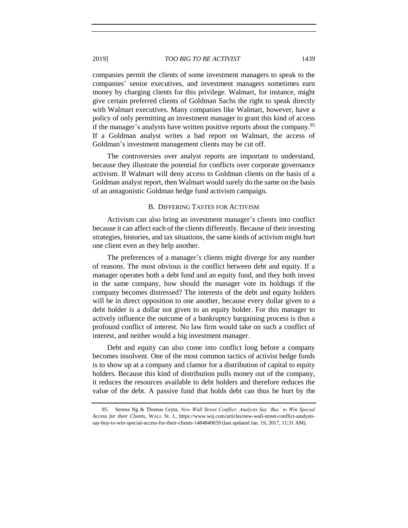companies permit the clients of some investment managers to speak to the companies' senior executives, and investment managers sometimes earn money by charging clients for this privilege. Walmart, for instance, might give certain preferred clients of Goldman Sachs the right to speak directly with Walmart executives. Many companies like Walmart, however, have a policy of only permitting an investment manager to grant this kind of access if the manager's analysts have written positive reports about the company.<sup>95</sup> If a Goldman analyst writes a bad report on Walmart, the access of Goldman's investment management clients may be cut off.

The controversies over analyst reports are important to understand, because they illustrate the potential for conflicts over corporate governance activism. If Walmart will deny access to Goldman clients on the basis of a Goldman analyst report, then Walmart would surely do the same on the basis of an antagonistic Goldman hedge fund activism campaign.

## B. DIFFERING TASTES FOR ACTIVISM

<span id="page-32-0"></span>Activism can also bring an investment manager's clients into conflict because it can affect each of the clients differently. Because of their investing strategies, histories, and tax situations, the same kinds of activism might hurt one client even as they help another.

The preferences of a manager's clients might diverge for any number of reasons. The most obvious is the conflict between debt and equity. If a manager operates both a debt fund and an equity fund, and they both invest in the same company, how should the manager vote its holdings if the company becomes distressed? The interests of the debt and equity holders will be in direct opposition to one another, because every dollar given to a debt holder is a dollar not given to an equity holder. For this manager to actively influence the outcome of a bankruptcy bargaining process is thus a profound conflict of interest. No law firm would take on such a conflict of interest, and neither would a big investment manager.

Debt and equity can also come into conflict long before a company becomes insolvent. One of the most common tactics of activist hedge funds is to show up at a company and clamor for a distribution of capital to equity holders. Because this kind of distribution pulls money out of the company, it reduces the resources available to debt holders and therefore reduces the value of the debt. A passive fund that holds debt can thus be hurt by the

<sup>95.</sup> Serena Ng & Thomas Gryta, *New Wall Street Conflict: Analysts Say 'Buy' to Win Special Access for their Clients*, WALL St. J., https://www.wsj.com/articles/new-wall-street-conflict-analystssay-buy-to-win-special-access-for-their-clients-1484840659 (last updated Jan. 19, 2017, 11:31 AM).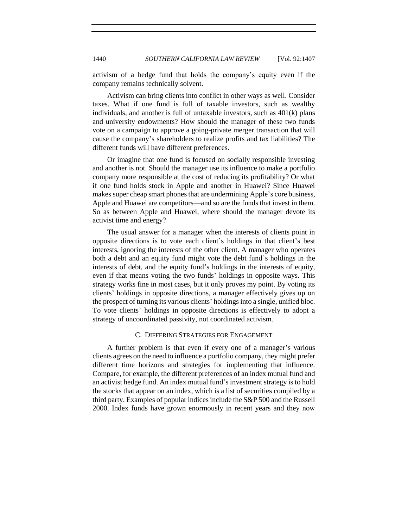activism of a hedge fund that holds the company's equity even if the company remains technically solvent.

Activism can bring clients into conflict in other ways as well. Consider taxes. What if one fund is full of taxable investors, such as wealthy individuals, and another is full of untaxable investors, such as 401(k) plans and university endowments? How should the manager of these two funds vote on a campaign to approve a going-private merger transaction that will cause the company's shareholders to realize profits and tax liabilities? The different funds will have different preferences.

Or imagine that one fund is focused on socially responsible investing and another is not. Should the manager use its influence to make a portfolio company more responsible at the cost of reducing its profitability? Or what if one fund holds stock in Apple and another in Huawei? Since Huawei makes super cheap smart phones that are undermining Apple's core business, Apple and Huawei are competitors—and so are the funds that invest in them. So as between Apple and Huawei, where should the manager devote its activist time and energy?

The usual answer for a manager when the interests of clients point in opposite directions is to vote each client's holdings in that client's best interests, ignoring the interests of the other client. A manager who operates both a debt and an equity fund might vote the debt fund's holdings in the interests of debt, and the equity fund's holdings in the interests of equity, even if that means voting the two funds' holdings in opposite ways. This strategy works fine in most cases, but it only proves my point. By voting its clients' holdings in opposite directions, a manager effectively gives up on the prospect of turning its various clients' holdings into a single, unified bloc. To vote clients' holdings in opposite directions is effectively to adopt a strategy of uncoordinated passivity, not coordinated activism.

# C. DIFFERING STRATEGIES FOR ENGAGEMENT

<span id="page-33-0"></span>A further problem is that even if every one of a manager's various clients agrees on the need to influence a portfolio company, they might prefer different time horizons and strategies for implementing that influence. Compare, for example, the different preferences of an index mutual fund and an activist hedge fund. An index mutual fund's investment strategy is to hold the stocks that appear on an index, which is a list of securities compiled by a third party. Examples of popular indices include the S&P 500 and the Russell 2000. Index funds have grown enormously in recent years and they now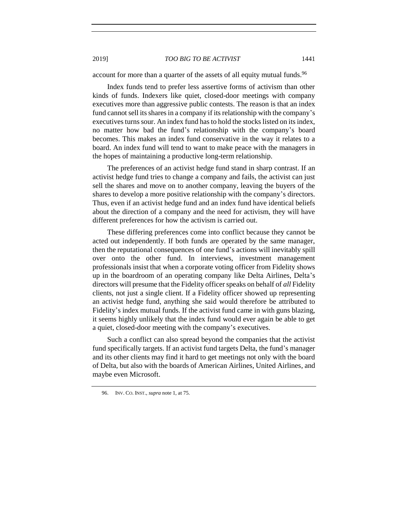account for more than a quarter of the assets of all equity mutual funds.<sup>96</sup>

Index funds tend to prefer less assertive forms of activism than other kinds of funds. Indexers like quiet, closed-door meetings with company executives more than aggressive public contests. The reason is that an index fund cannot sell its shares in a company if its relationship with the company's executives turns sour. An index fund has to hold the stocks listed on its index, no matter how bad the fund's relationship with the company's board becomes. This makes an index fund conservative in the way it relates to a board. An index fund will tend to want to make peace with the managers in the hopes of maintaining a productive long-term relationship.

The preferences of an activist hedge fund stand in sharp contrast. If an activist hedge fund tries to change a company and fails, the activist can just sell the shares and move on to another company, leaving the buyers of the shares to develop a more positive relationship with the company's directors. Thus, even if an activist hedge fund and an index fund have identical beliefs about the direction of a company and the need for activism, they will have different preferences for how the activism is carried out.

These differing preferences come into conflict because they cannot be acted out independently. If both funds are operated by the same manager, then the reputational consequences of one fund's actions will inevitably spill over onto the other fund. In interviews, investment management professionals insist that when a corporate voting officer from Fidelity shows up in the boardroom of an operating company like Delta Airlines, Delta's directors will presume that the Fidelity officer speaks on behalf of *all* Fidelity clients, not just a single client. If a Fidelity officer showed up representing an activist hedge fund, anything she said would therefore be attributed to Fidelity's index mutual funds. If the activist fund came in with guns blazing, it seems highly unlikely that the index fund would ever again be able to get a quiet, closed-door meeting with the company's executives.

Such a conflict can also spread beyond the companies that the activist fund specifically targets. If an activist fund targets Delta, the fund's manager and its other clients may find it hard to get meetings not only with the board of Delta, but also with the boards of American Airlines, United Airlines, and maybe even Microsoft.

<span id="page-34-0"></span><sup>96.</sup> INV. CO. INST., *supra* not[e 1,](#page-2-1) at 75.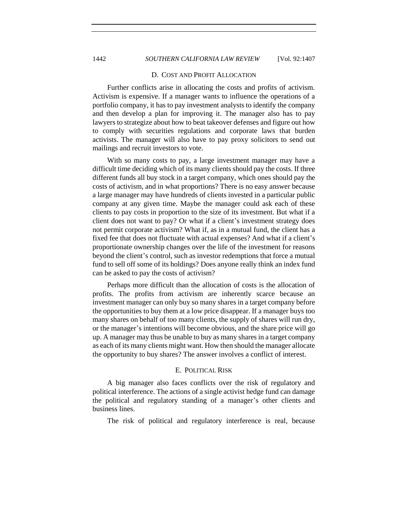1442 *SOUTHERN CALIFORNIA LAW REVIEW* [Vol. 92:1407

#### D. COST AND PROFIT ALLOCATION

Further conflicts arise in allocating the costs and profits of activism. Activism is expensive. If a manager wants to influence the operations of a portfolio company, it has to pay investment analysts to identify the company and then develop a plan for improving it. The manager also has to pay lawyers to strategize about how to beat takeover defenses and figure out how to comply with securities regulations and corporate laws that burden activists. The manager will also have to pay proxy solicitors to send out mailings and recruit investors to vote.

With so many costs to pay, a large investment manager may have a difficult time deciding which of its many clients should pay the costs. If three different funds all buy stock in a target company, which ones should pay the costs of activism, and in what proportions? There is no easy answer because a large manager may have hundreds of clients invested in a particular public company at any given time. Maybe the manager could ask each of these clients to pay costs in proportion to the size of its investment. But what if a client does not want to pay? Or what if a client's investment strategy does not permit corporate activism? What if, as in a mutual fund, the client has a fixed fee that does not fluctuate with actual expenses? And what if a client's proportionate ownership changes over the life of the investment for reasons beyond the client's control, such as investor redemptions that force a mutual fund to sell off some of its holdings? Does anyone really think an index fund can be asked to pay the costs of activism?

Perhaps more difficult than the allocation of costs is the allocation of profits. The profits from activism are inherently scarce because an investment manager can only buy so many shares in a target company before the opportunities to buy them at a low price disappear. If a manager buys too many shares on behalf of too many clients, the supply of shares will run dry, or the manager's intentions will become obvious, and the share price will go up. A manager may thus be unable to buy as many shares in a target company as each of its many clients might want. How then should the manager allocate the opportunity to buy shares? The answer involves a conflict of interest.

#### E. POLITICAL RISK

<span id="page-35-0"></span>A big manager also faces conflicts over the risk of regulatory and political interference. The actions of a single activist hedge fund can damage the political and regulatory standing of a manager's other clients and business lines.

The risk of political and regulatory interference is real, because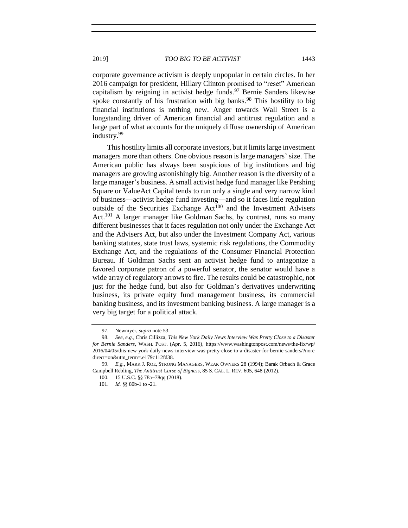corporate governance activism is deeply unpopular in certain circles. In her 2016 campaign for president, Hillary Clinton promised to "reset" American capitalism by reigning in activist hedge funds.<sup>97</sup> Bernie Sanders likewise spoke constantly of his frustration with big banks.<sup>98</sup> This hostility to big financial institutions is nothing new. Anger towards Wall Street is a longstanding driver of American financial and antitrust regulation and a large part of what accounts for the uniquely diffuse ownership of American industry.<sup>99</sup>

This hostility limits all corporate investors, but it limits large investment managers more than others. One obvious reason is large managers' size. The American public has always been suspicious of big institutions and big managers are growing astonishingly big. Another reason is the diversity of a large manager's business. A small activist hedge fund manager like Pershing Square or ValueAct Capital tends to run only a single and very narrow kind of business—activist hedge fund investing—and so it faces little regulation outside of the Securities Exchange  $Act^{100}$  and the Investment Advisers Act.<sup>101</sup> A larger manager like Goldman Sachs, by contrast, runs so many different businesses that it faces regulation not only under the Exchange Act and the Advisers Act, but also under the Investment Company Act, various banking statutes, state trust laws, systemic risk regulations, the Commodity Exchange Act, and the regulations of the Consumer Financial Protection Bureau. If Goldman Sachs sent an activist hedge fund to antagonize a favored corporate patron of a powerful senator, the senator would have a wide array of regulatory arrows to fire. The results could be catastrophic, not just for the hedge fund, but also for Goldman's derivatives underwriting business, its private equity fund management business, its commercial banking business, and its investment banking business. A large manager is a very big target for a political attack.

<span id="page-36-0"></span><sup>97.</sup> Newmyer, *supra* note [53.](#page-19-0)

<sup>98.</sup> *See, e.g.*, Chris Cillizza, *This New York Daily News Interview Was Pretty Close to a Disaster for Bernie Sanders*, WASH. POST. (Apr. 5, 2016), https://www.washingtonpost.com/news/the-fix/wp/ 2016/04/05/this-new-york-daily-news-interview-was-pretty-close-to-a-disaster-for-bernie-sanders/?nore direct=on&utm\_term=.e179c112fd38.

<sup>99.</sup> *E.g.*, MARK J. ROE, STRONG MANAGERS, WEAK OWNERS 28 (1994); Barak Orbach & Grace Campbell Rebling, *The Antitrust Curse of Bigness*, 85 S. CAL. L. REV. 605, 648 (2012).

<sup>100.</sup> 15 U.S.C. §§ 78a−78qq (2018).

<sup>101.</sup> *Id.* §§ 80b-1 to -21.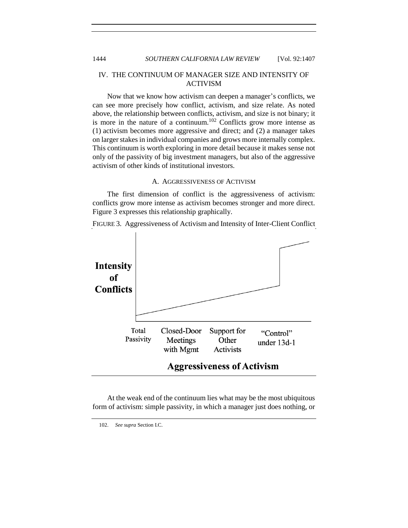# IV. THE CONTINUUM OF MANAGER SIZE AND INTENSITY OF ACTIVISM

Now that we know how activism can deepen a manager's conflicts, we can see more precisely how conflict, activism, and size relate. As noted above, the relationship between conflicts, activism, and size is not binary; it is more in the nature of a continuum.<sup>102</sup> Conflicts grow more intense as (1) activism becomes more aggressive and direct; and (2) a manager takes on larger stakes in individual companies and grows more internally complex. This continuum is worth exploring in more detail because it makes sense not only of the passivity of big investment managers, but also of the aggressive activism of other kinds of institutional investors.

# A. AGGRESSIVENESS OF ACTIVISM

<span id="page-37-0"></span>The first dimension of conflict is the aggressiveness of activism: conflicts grow more intense as activism becomes stronger and more direct. Figure 3 expresses this relationship graphically.

FIGURE 3. Aggressiveness of Activism and Intensity of Inter-Client Conflict



At the weak end of the continuum lies what may be the most ubiquitous form of activism: simple passivity, in which a manager just does nothing, or

<sup>102.</sup> *See supra* Section I.C.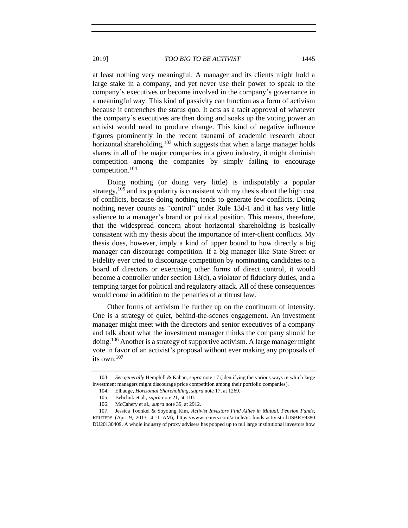at least nothing very meaningful. A manager and its clients might hold a large stake in a company, and yet never use their power to speak to the company's executives or become involved in the company's governance in a meaningful way. This kind of passivity can function as a form of activism because it entrenches the status quo. It acts as a tacit approval of whatever the company's executives are then doing and soaks up the voting power an activist would need to produce change. This kind of negative influence figures prominently in the recent tsunami of academic research about horizontal shareholding,  $103$  which suggests that when a large manager holds shares in all of the major companies in a given industry, it might diminish competition among the companies by simply failing to encourage competition.<sup>104</sup>

Doing nothing (or doing very little) is indisputably a popular strategy,  $105$  and its popularity is consistent with my thesis about the high cost of conflicts, because doing nothing tends to generate few conflicts. Doing nothing never counts as "control" under Rule 13d-1 and it has very little salience to a manager's brand or political position. This means, therefore, that the widespread concern about horizontal shareholding is basically consistent with my thesis about the importance of inter-client conflicts. My thesis does, however, imply a kind of upper bound to how directly a big manager can discourage competition. If a big manager like State Street or Fidelity ever tried to discourage competition by nominating candidates to a board of directors or exercising other forms of direct control, it would become a controller under section 13(d), a violator of fiduciary duties, and a tempting target for political and regulatory attack. All of these consequences would come in addition to the penalties of antitrust law.

Other forms of activism lie further up on the continuum of intensity. One is a strategy of quiet, behind-the-scenes engagement. An investment manager might meet with the directors and senior executives of a company and talk about what the investment manager thinks the company should be doing.<sup>106</sup> Another is a strategy of supportive activism. A large manager might vote in favor of an activist's proposal without ever making any proposals of its own.<sup>107</sup>

<sup>103.</sup> *See generally* Hemphill & Kahan, *supra* note [17](#page-3-1) (identifying the various ways in which large investment managers might discourage price competition among their portfolio companies).

<sup>104.</sup> Elhauge, *Horizontal Shareholding*, *supra* note 17, at 1269.

<sup>105.</sup> Bebchuk et al., *supra* note 21, at 110.

<sup>106.</sup> McCahery et al., *supra* note 39, at 2912.

<sup>107.</sup> Jessica Toonkel & Soyoung Kim, *Activist Investors Find Allies in Mutual, Pension Funds*, REUTERS (Apr. 9, 2013, 4:11 AM), https://www.reuters.com/article/us-funds-activist-idUSBRE9380 DU20130409. A whole industry of proxy advisers has popped up to tell large institutional investors how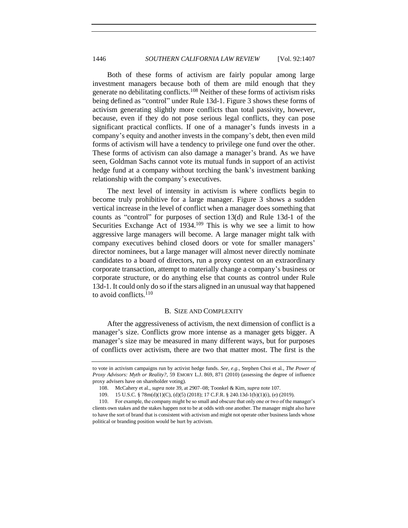Both of these forms of activism are fairly popular among large investment managers because both of them are mild enough that they generate no debilitating conflicts.<sup>108</sup> Neither of these forms of activism risks being defined as "control" under Rule 13d-1. Figure 3 shows these forms of activism generating slightly more conflicts than total passivity, however, because, even if they do not pose serious legal conflicts, they can pose significant practical conflicts. If one of a manager's funds invests in a company's equity and another invests in the company's debt, then even mild forms of activism will have a tendency to privilege one fund over the other. These forms of activism can also damage a manager's brand. As we have seen, Goldman Sachs cannot vote its mutual funds in support of an activist hedge fund at a company without torching the bank's investment banking relationship with the company's executives.

The next level of intensity in activism is where conflicts begin to become truly prohibitive for a large manager. Figure 3 shows a sudden vertical increase in the level of conflict when a manager does something that counts as "control" for purposes of section 13(d) and Rule 13d-1 of the Securities Exchange Act of  $1934$ <sup>109</sup> This is why we see a limit to how aggressive large managers will become. A large manager might talk with company executives behind closed doors or vote for smaller managers' director nominees, but a large manager will almost never directly nominate candidates to a board of directors, run a proxy contest on an extraordinary corporate transaction, attempt to materially change a company's business or corporate structure, or do anything else that counts as control under Rule 13d-1. It could only do so if the stars aligned in an unusual way that happened to avoid conflicts. $110$ 

#### B. SIZE AND COMPLEXITY

<span id="page-39-0"></span>After the aggressiveness of activism, the next dimension of conflict is a manager's size. Conflicts grow more intense as a manager gets bigger. A manager's size may be measured in many different ways, but for purposes of conflicts over activism, there are two that matter most. The first is the

to vote in activism campaigns run by activist hedge funds. *See, e.g.*, Stephen Choi et al., *The Power of Proxy Advisors: Myth or Reality?*, 59 EMORY L.J. 869, 871 (2010) (assessing the degree of influence proxy advisers have on shareholder voting).

<sup>108.</sup> McCahery et al., *supra* note [39,](#page-15-1) at 2907–08; Toonkel & Kim, *supra* note 107.

<sup>109.</sup> 15 U.S.C. § 78m(d)(1)(C), (d)(5) (2018); 17 C.F.R. § 240.13d-1(b)(1)(i), (e) (2019).

<sup>110.</sup> For example, the company might be so small and obscure that only one or two of the manager's clients own stakes and the stakes happen not to be at odds with one another. The manager might also have to have the sort of brand that is consistent with activism and might not operate other business lands whose political or branding position would be hurt by activism.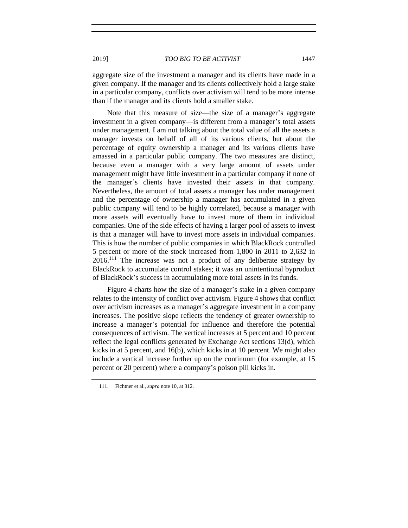aggregate size of the investment a manager and its clients have made in a given company. If the manager and its clients collectively hold a large stake in a particular company, conflicts over activism will tend to be more intense than if the manager and its clients hold a smaller stake.

Note that this measure of size—the size of a manager's aggregate investment in a given company—is different from a manager's total assets under management. I am not talking about the total value of all the assets a manager invests on behalf of all of its various clients, but about the percentage of equity ownership a manager and its various clients have amassed in a particular public company. The two measures are distinct, because even a manager with a very large amount of assets under management might have little investment in a particular company if none of the manager's clients have invested their assets in that company. Nevertheless, the amount of total assets a manager has under management and the percentage of ownership a manager has accumulated in a given public company will tend to be highly correlated, because a manager with more assets will eventually have to invest more of them in individual companies. One of the side effects of having a larger pool of assets to invest is that a manager will have to invest more assets in individual companies. This is how the number of public companies in which BlackRock controlled 5 percent or more of the stock increased from 1,800 in 2011 to 2,632 in  $2016$ .<sup>111</sup> The increase was not a product of any deliberate strategy by BlackRock to accumulate control stakes; it was an unintentional byproduct of BlackRock's success in accumulating more total assets in its funds.

Figure 4 charts how the size of a manager's stake in a given company relates to the intensity of conflict over activism. Figure 4 shows that conflict over activism increases as a manager's aggregate investment in a company increases. The positive slope reflects the tendency of greater ownership to increase a manager's potential for influence and therefore the potential consequences of activism. The vertical increases at 5 percent and 10 percent reflect the legal conflicts generated by Exchange Act sections 13(d), which kicks in at 5 percent, and 16(b), which kicks in at 10 percent. We might also include a vertical increase further up on the continuum (for example, at 15 percent or 20 percent) where a company's poison pill kicks in.

<sup>111.</sup> Fichtner et al., *supra* note [10,](#page-3-0) at 312.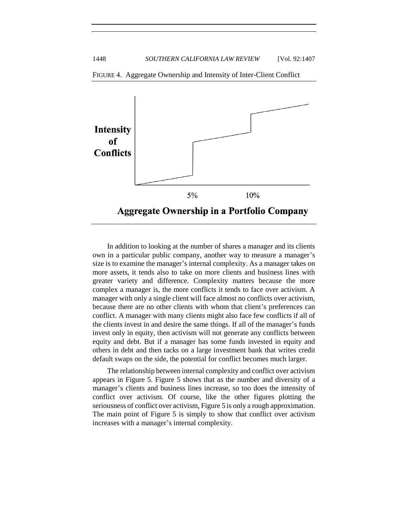



In addition to looking at the number of shares a manager and its clients own in a particular public company, another way to measure a manager's size is to examine the manager's internal complexity. As a manager takes on more assets, it tends also to take on more clients and business lines with greater variety and difference. Complexity matters because the more complex a manager is, the more conflicts it tends to face over activism. A manager with only a single client will face almost no conflicts over activism, because there are no other clients with whom that client's preferences can conflict. A manager with many clients might also face few conflicts if all of the clients invest in and desire the same things. If all of the manager's funds invest only in equity, then activism will not generate any conflicts between equity and debt. But if a manager has some funds invested in equity and others in debt and then tacks on a large investment bank that writes credit default swaps on the side, the potential for conflict becomes much larger.

The relationship between internal complexity and conflict over activism appears in Figure 5. Figure 5 shows that as the number and diversity of a manager's clients and business lines increase, so too does the intensity of conflict over activism. Of course, like the other figures plotting the seriousness of conflict over activism, Figure 5 is only a rough approximation. The main point of Figure 5 is simply to show that conflict over activism increases with a manager's internal complexity.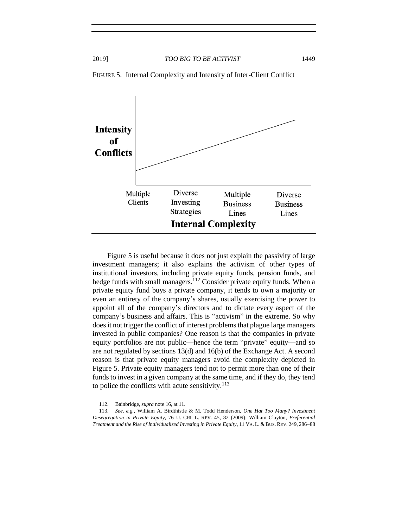

FIGURE 5. Internal Complexity and Intensity of Inter-Client Conflict

Figure 5 is useful because it does not just explain the passivity of large investment managers; it also explains the activism of other types of institutional investors, including private equity funds, pension funds, and hedge funds with small managers. $^{112}$  Consider private equity funds. When a private equity fund buys a private company, it tends to own a majority or even an entirety of the company's shares, usually exercising the power to appoint all of the company's directors and to dictate every aspect of the company's business and affairs. This is "activism" in the extreme. So why does it not trigger the conflict of interest problems that plague large managers invested in public companies? One reason is that the companies in private equity portfolios are not public—hence the term "private" equity—and so are not regulated by sections 13(d) and 16(b) of the Exchange Act. A second reason is that private equity managers avoid the complexity depicted in Figure 5. Private equity managers tend not to permit more than one of their funds to invest in a given company at the same time, and if they do, they tend to police the conflicts with acute sensitivity.<sup>113</sup>

<sup>112.</sup> Bainbridge, *supra* not[e 16,](#page-3-2) at 11.

<sup>113.</sup> *See, e.g.*, William A. Birdthistle & M. Todd Henderson, *One Hat Too Many? Investment Desegregation in Private Equity*, 76 U. CHI. L. REV. 45, 82 (2009); William Clayton, *Preferential Treatment and the Rise of Individualized Investing in Private Equity*, 11 VA. L. & BUS. REV. 249, 286−88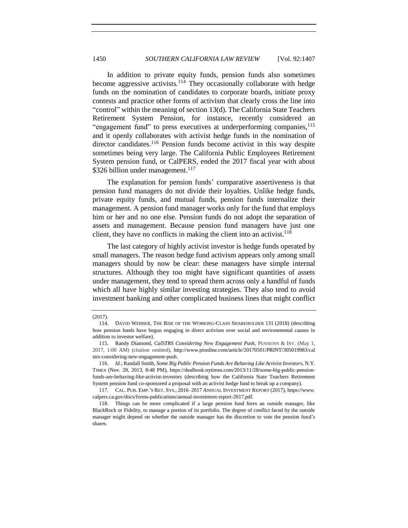In addition to private equity funds, pension funds also sometimes become aggressive activists.<sup>114</sup> They occasionally collaborate with hedge funds on the nomination of candidates to corporate boards, initiate proxy contests and practice other forms of activism that clearly cross the line into "control" within the meaning of section 13(d). The California State Teachers Retirement System Pension, for instance, recently considered an "engagement fund" to press executives at underperforming companies, <sup>115</sup> and it openly collaborates with activist hedge funds in the nomination of director candidates.<sup>116</sup> Pension funds become activist in this way despite sometimes being very large. The California Public Employees Retirement System pension fund, or CalPERS, ended the 2017 fiscal year with about  $$326$  billion under management.<sup>117</sup>

The explanation for pension funds' comparative assertiveness is that pension fund managers do not divide their loyalties. Unlike hedge funds, private equity funds, and mutual funds, pension funds internalize their management. A pension fund manager works only for the fund that employs him or her and no one else. Pension funds do not adopt the separation of assets and management. Because pension fund managers have just one client, they have no conflicts in making the client into an activist.<sup>118</sup>

The last category of highly activist investor is hedge funds operated by small managers. The reason hedge fund activism appears only among small managers should by now be clear: these managers have simple internal structures. Although they too might have significant quantities of assets under management, they tend to spread them across only a handful of funds which all have highly similar investing strategies. They also tend to avoid investment banking and other complicated business lines that might conflict

<sup>(2017).</sup>

<sup>114.</sup> DAVID WEBBER, THE RISE OF THE WORKING-CLASS SHAREHOLDER 131 (2018) (describing how pension funds have begun engaging in direct activism over social and environmental causes in addition to investor welfare).

<sup>115.</sup> Randy Diamond, *CalSTRS Considering New Engagement Push*, PENSIONS & INV. (May 1, 2017, 1:00 AM) (citation omitted), http://www.pionline.com/article/20170501/PRINT/305019983/cal strs-considering-new-engagement-push.

<sup>116.</sup> *Id.*; Randall Smith, *Some Big Public Pension Funds Are Behaving Like Activist Investors*, N.Y. TIMES (Nov. 28, 2013, 8:48 PM), https://dealbook.nytimes.com/2013/11/28/some-big-public-pensionfunds-are-behaving-like-activist-investors (describing how the California State Teachers Retirement System pension fund co-sponsored a proposal with an activist hedge fund to break up a company).

<sup>117.</sup> CAL. PUB. EMP.'S RET. SYS., 2016–2017 ANNUAL INVESTMENT REPORT (2017), https://www. calpers.ca.gov/docs/forms-publications/annual-investment-report-2017.pdf.

<sup>118.</sup> Things can be more complicated if a large pension fund hires an outside manager, like BlackRock or Fidelity, to manage a portion of its portfolio. The degree of conflict faced by the outside manager might depend on whether the outside manager has the discretion to vote the pension fund's shares.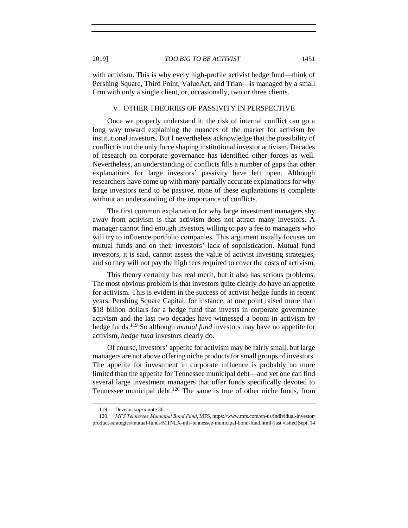with activism. This is why every high-profile activist hedge fund—think of Pershing Square, Third Point, ValueAct, and Trian—is managed by a small firm with only a single client, or, occasionally, two or three clients.

#### V. OTHER THEORIES OF PASSIVITY IN PERSPECTIVE

<span id="page-44-0"></span>Once we properly understand it, the risk of internal conflict can go a long way toward explaining the nuances of the market for activism by institutional investors. But I nevertheless acknowledge that the possibility of conflict is not the only force shaping institutional investor activism. Decades of research on corporate governance has identified other forces as well. Nevertheless, an understanding of conflicts fills a number of gaps that other explanations for large investors' passivity have left open. Although researchers have come up with many partially accurate explanations for why large investors tend to be passive, none of these explanations is complete without an understanding of the importance of conflicts.

The first common explanation for why large investment managers shy away from activism is that activism does not attract many investors. A manager cannot find enough investors willing to pay a fee to managers who will try to influence portfolio companies. This argument usually focuses on mutual funds and on their investors' lack of sophistication. Mutual fund investors, it is said, cannot assess the value of activist investing strategies, and so they will not pay the high fees required to cover the costs of activism.

This theory certainly has real merit, but it also has serious problems. The most obvious problem is that investors quite clearly *do* have an appetite for activism. This is evident in the success of activist hedge funds in recent years. Pershing Square Capital, for instance, at one point raised more than \$18 billion dollars for a hedge fund that invests in corporate governance activism and the last two decades have witnessed a boom in activism by hedge funds.<sup>119</sup> So although *mutual fund* investors may have no appetite for activism, *hedge fund* investors clearly do.

Of course, investors' appetite for activism may be fairly small, but large managers are not above offering niche products for small groups of investors. The appetite for investment in corporate influence is probably no more limited than the appetite for Tennessee municipal debt—and yet one can find several large investment managers that offer funds specifically devoted to Tennessee municipal debt.<sup>120</sup> The same is true of other niche funds, from

<sup>119.</sup> Deveau, *supra* note [36.](#page-14-0)

<sup>120.</sup> *MFS Tennessee Munıcıpal Bond Fund*, MFS, https://www.mfs.com/en-us/individual-investor/ product-strategies/mutual-funds/MTNLX-mfs-tennessee-municipal-bond-fund.html (last visited Sept. 14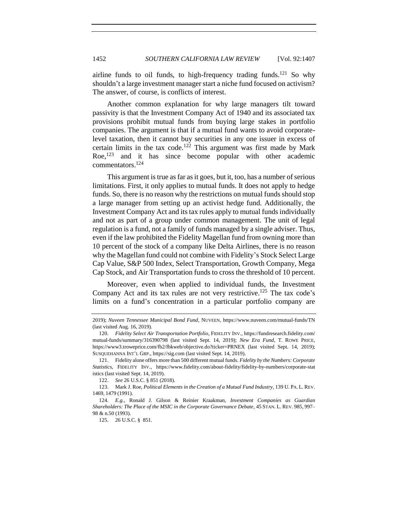airline funds to oil funds, to high-frequency trading funds.<sup>121</sup> So why shouldn't a large investment manager start a niche fund focused on activism? The answer, of course, is conflicts of interest.

Another common explanation for why large managers tilt toward passivity is that the Investment Company Act of 1940 and its associated tax provisions prohibit mutual funds from buying large stakes in portfolio companies. The argument is that if a mutual fund wants to avoid corporatelevel taxation, then it cannot buy securities in any one issuer in excess of certain limits in the tax code.<sup>122</sup> This argument was first made by Mark Roe,<sup>123</sup> and it has since become popular with other academic commentators.<sup>124</sup>

This argument is true as far as it goes, but it, too, has a number of serious limitations. First, it only applies to mutual funds. It does not apply to hedge funds. So, there is no reason why the restrictions on mutual funds should stop a large manager from setting up an activist hedge fund. Additionally, the Investment Company Act and its tax rules apply to mutual funds individually and not as part of a group under common management. The unit of legal regulation is a fund, not a family of funds managed by a single adviser. Thus, even if the law prohibited the Fidelity Magellan fund from owning more than 10 percent of the stock of a company like Delta Airlines, there is no reason why the Magellan fund could not combine with Fidelity's Stock Select Large Cap Value, S&P 500 Index, Select Transportation, Growth Company, Mega Cap Stock, and Air Transportation funds to cross the threshold of 10 percent.

Moreover, even when applied to individual funds, the Investment Company Act and its tax rules are not very restrictive.<sup>125</sup> The tax code's limits on a fund's concentration in a particular portfolio company are

125. 26 U.S.C. § 851.

<sup>2019);</sup> *Nuveen Tennessee Municipal Bond Fund*, NUVEEN, https://www.nuveen.com/mutual-funds/TN (last visited Aug. 16, 2019).

<sup>120.</sup> *Fidelity Select Air Transportation Portfolio*, FIDELITY INV., https://fundresearch.fidelity.com/ mutual-funds/summary/316390798 (last visited Sept. 14, 2019); *New Era Fund*, T. ROWE PRICE, https://www3.troweprice.com/fb2/fbkweb/objective.do?ticker=PRNEX (last visited Sept. 14, 2019); SUSQUEHANNA INT'L GRP., https://sig.com (last visited Sept. 14, 2019).

<sup>121.</sup> Fidelity alone offers more than 500 different mutual funds. *Fidelity by the Numbers: Corporate Statistics*, FIDELITY INV., https://www.fidelity.com/about-fidelity/fidelity-by-numbers/corporate-stat istics (last visited Sept. 14, 2019).

<sup>122.</sup> *See* 26 U.S.C. § 851 (2018).

<sup>123.</sup> Mark J. Roe, *Political Elements in the Creation of a Mutual Fund Industry*, 139 U. PA. L. REV. 1469, 1479 (1991).

<sup>124.</sup> *E.g.*, Ronald J. Gilson & Reinier Kraakman, *Investment Companies as Guardian Shareholders: The Place of the MSIC in the Corporate Governance Debate*, 45 STAN. L. REV. 985, 997– 98 & n.50 (1993).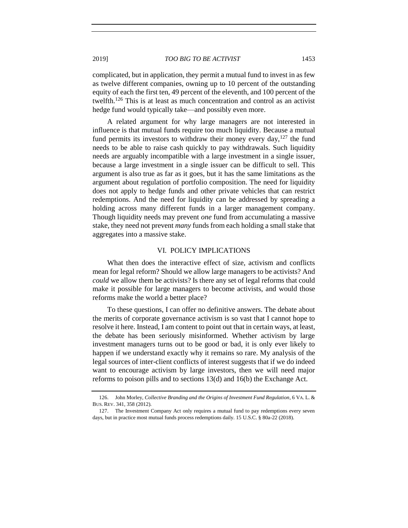complicated, but in application, they permit a mutual fund to invest in as few as twelve different companies, owning up to 10 percent of the outstanding equity of each the first ten, 49 percent of the eleventh, and 100 percent of the twelfth.<sup>126</sup> This is at least as much concentration and control as an activist hedge fund would typically take—and possibly even more.

A related argument for why large managers are not interested in influence is that mutual funds require too much liquidity. Because a mutual fund permits its investors to withdraw their money every day,  $127$  the fund needs to be able to raise cash quickly to pay withdrawals. Such liquidity needs are arguably incompatible with a large investment in a single issuer, because a large investment in a single issuer can be difficult to sell. This argument is also true as far as it goes, but it has the same limitations as the argument about regulation of portfolio composition. The need for liquidity does not apply to hedge funds and other private vehicles that can restrict redemptions. And the need for liquidity can be addressed by spreading a holding across many different funds in a larger management company. Though liquidity needs may prevent *one* fund from accumulating a massive stake, they need not prevent *many* funds from each holding a small stake that aggregates into a massive stake.

#### VI. POLICY IMPLICATIONS

<span id="page-46-0"></span>What then does the interactive effect of size, activism and conflicts mean for legal reform? Should we allow large managers to be activists? And *could* we allow them be activists? Is there any set of legal reforms that could make it possible for large managers to become activists, and would those reforms make the world a better place?

To these questions, I can offer no definitive answers. The debate about the merits of corporate governance activism is so vast that I cannot hope to resolve it here. Instead, I am content to point out that in certain ways, at least, the debate has been seriously misinformed. Whether activism by large investment managers turns out to be good or bad, it is only ever likely to happen if we understand exactly why it remains so rare. My analysis of the legal sources of inter-client conflicts of interest suggests that if we do indeed want to encourage activism by large investors, then we will need major reforms to poison pills and to sections 13(d) and 16(b) the Exchange Act.

<sup>126.</sup> John Morley, *Collective Branding and the Origins of Investment Fund Regulation*, 6 VA. L. & BUS. REV. 341, 358 (2012).

<sup>127.</sup> The Investment Company Act only requires a mutual fund to pay redemptions every seven days, but in practice most mutual funds process redemptions daily. 15 U.S.C. § 80a-22 (2018).